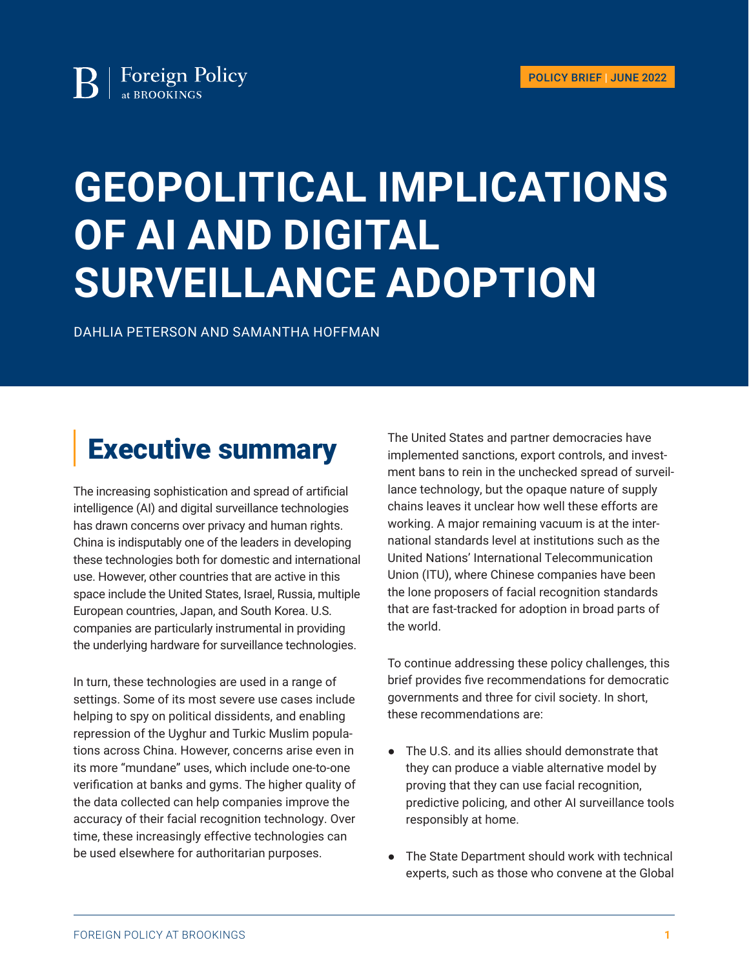# **GEOPOLITICAL IMPLICATIONS OF AI AND DIGITAL SURVEILLANCE ADOPTION**

DAHLIA PETERSON AND SAMANTHA HOFFMAN

### Executive summary

The increasing sophistication and spread of artificial intelligence (AI) and digital surveillance technologies has drawn concerns over privacy and human rights. China is indisputably one of the leaders in developing these technologies both for domestic and international use. However, other countries that are active in this space include the United States, Israel, Russia, multiple European countries, Japan, and South Korea. U.S. companies are particularly instrumental in providing the underlying hardware for surveillance technologies.

In turn, these technologies are used in a range of settings. Some of its most severe use cases include helping to spy on political dissidents, and enabling repression of the Uyghur and Turkic Muslim populations across China. However, concerns arise even in its more "mundane" uses, which include one-to-one verification at banks and gyms. The higher quality of the data collected can help companies improve the accuracy of their facial recognition technology. Over time, these increasingly effective technologies can be used elsewhere for authoritarian purposes.

The United States and partner democracies have implemented sanctions, export controls, and investment bans to rein in the unchecked spread of surveillance technology, but the opaque nature of supply chains leaves it unclear how well these efforts are working. A major remaining vacuum is at the international standards level at institutions such as the United Nations' International Telecommunication Union (ITU), where Chinese companies have been the lone proposers of facial recognition standards that are fast-tracked for adoption in broad parts of the world.

To continue addressing these policy challenges, this brief provides five recommendations for democratic governments and three for civil society. In short, these recommendations are:

- The U.S. and its allies should demonstrate that they can produce a viable alternative model by proving that they can use facial recognition, predictive policing, and other AI surveillance tools responsibly at home.
- The State Department should work with technical experts, such as those who convene at the Global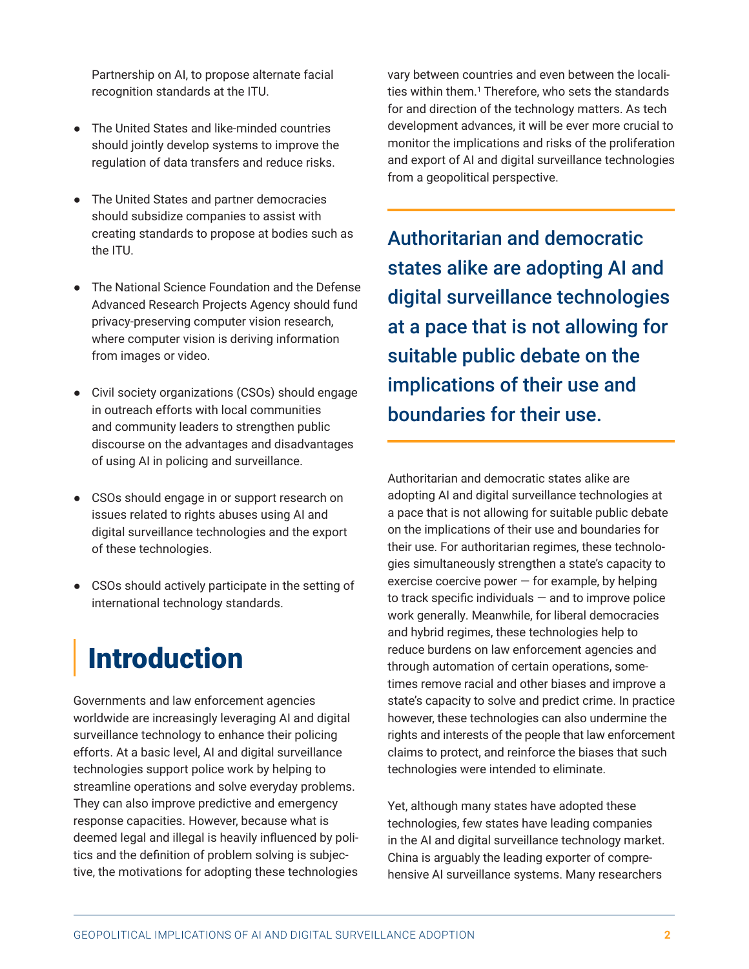<span id="page-1-0"></span>Partnership on AI, to propose alternate facial recognition standards at the ITU.

- The United States and like-minded countries should jointly develop systems to improve the regulation of data transfers and reduce risks.
- The United States and partner democracies should subsidize companies to assist with creating standards to propose at bodies such as the ITU.
- The National Science Foundation and the Defense Advanced Research Projects Agency should fund privacy-preserving computer vision research, where computer vision is deriving information from images or video.
- Civil society organizations (CSOs) should engage in outreach efforts with local communities and community leaders to strengthen public discourse on the advantages and disadvantages of using AI in policing and surveillance.
- CSOs should engage in or support research on issues related to rights abuses using AI and digital surveillance technologies and the export of these technologies.
- CSOs should actively participate in the setting of international technology standards.

# Introduction

Governments and law enforcement agencies worldwide are increasingly leveraging AI and digital surveillance technology to enhance their policing efforts. At a basic level, AI and digital surveillance technologies support police work by helping to streamline operations and solve everyday problems. They can also improve predictive and emergency response capacities. However, because what is deemed legal and illegal is heavily influenced by politics and the definition of problem solving is subjective, the motivations for adopting these technologies

vary between countries and even between the localities within them.[1](#page-11-0) Therefore, who sets the standards for and direction of the technology matters. As tech development advances, it will be ever more crucial to monitor the implications and risks of the proliferation and export of AI and digital surveillance technologies from a geopolitical perspective.

Authoritarian and democratic states alike are adopting AI and digital surveillance technologies at a pace that is not allowing for suitable public debate on the implications of their use and boundaries for their use.

Authoritarian and democratic states alike are adopting AI and digital surveillance technologies at a pace that is not allowing for suitable public debate on the implications of their use and boundaries for their use. For authoritarian regimes, these technologies simultaneously strengthen a state's capacity to exercise coercive power  $-$  for example, by helping to track specific individuals  $-$  and to improve police work generally. Meanwhile, for liberal democracies and hybrid regimes, these technologies help to reduce burdens on law enforcement agencies and through automation of certain operations, sometimes remove racial and other biases and improve a state's capacity to solve and predict crime. In practice however, these technologies can also undermine the rights and interests of the people that law enforcement claims to protect, and reinforce the biases that such technologies were intended to eliminate.

Yet, although many states have adopted these technologies, few states have leading companies in the AI and digital surveillance technology market. China is arguably the leading exporter of comprehensive AI surveillance systems. Many researchers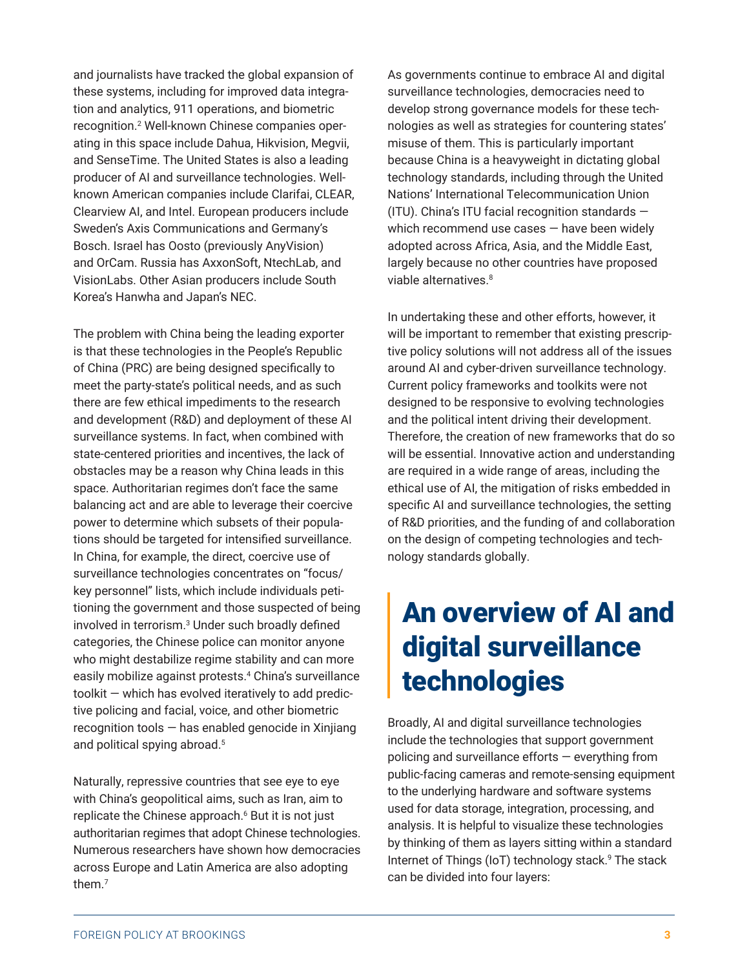<span id="page-2-0"></span>and journalists have tracked the global expansion of these systems, including for improved data integration and analytics, 911 operations, and biometric recognition.[2](#page-11-0) Well-known Chinese companies operating in this space include Dahua, Hikvision, Megvii, and SenseTime. The United States is also a leading producer of AI and surveillance technologies. Wellknown American companies include Clarifai, CLEAR, Clearview AI, and Intel. European producers include Sweden's Axis Communications and Germany's Bosch. Israel has Oosto (previously AnyVision) and OrCam. Russia has AxxonSoft, NtechLab, and VisionLabs. Other Asian producers include South Korea's Hanwha and Japan's NEC.

The problem with China being the leading exporter is that these technologies in the People's Republic of China (PRC) are being designed specifically to meet the party-state's political needs, and as such there are few ethical impediments to the research and development (R&D) and deployment of these AI surveillance systems. In fact, when combined with state-centered priorities and incentives, the lack of obstacles may be a reason why China leads in this space. Authoritarian regimes don't face the same balancing act and are able to leverage their coercive power to determine which subsets of their populations should be targeted for intensified surveillance. In China, for example, the direct, coercive use of surveillance technologies concentrates on "focus/ key personnel" lists, which include individuals petitioning the government and those suspected of being involved in terrorism.<sup>[3](#page-11-0)</sup> Under such broadly defined categories, the Chinese police can monitor anyone who might destabilize regime stability and can more easily mobilize against protests.[4](#page-11-0) China's surveillance toolkit — which has evolved iteratively to add predictive policing and facial, voice, and other biometric recognition tools — has enabled genocide in Xinjiang and political spying abroad.<sup>[5](#page-11-0)</sup>

Naturally, repressive countries that see eye to eye with China's geopolitical aims, such as Iran, aim to replicate the Chinese approach.<sup>[6](#page-12-0)</sup> But it is not just authoritarian regimes that adopt Chinese technologies. Numerous researchers have shown how democracies across Europe and Latin America are also adopting them.[7](#page-12-0)

As governments continue to embrace AI and digital surveillance technologies, democracies need to develop strong governance models for these technologies as well as strategies for countering states' misuse of them. This is particularly important because China is a heavyweight in dictating global technology standards, including through the United Nations' International Telecommunication Union (ITU). China's ITU facial recognition standards which recommend use cases — have been widely adopted across Africa, Asia, and the Middle East, largely because no other countries have proposed viable alternatives.<sup>[8](#page-12-0)</sup>

In undertaking these and other efforts, however, it will be important to remember that existing prescriptive policy solutions will not address all of the issues around AI and cyber-driven surveillance technology. Current policy frameworks and toolkits were not designed to be responsive to evolving technologies and the political intent driving their development. Therefore, the creation of new frameworks that do so will be essential. Innovative action and understanding are required in a wide range of areas, including the ethical use of AI, the mitigation of risks embedded in specific AI and surveillance technologies, the setting of R&D priorities, and the funding of and collaboration on the design of competing technologies and technology standards globally.

### An overview of AI and digital surveillance technologies

Broadly, AI and digital surveillance technologies include the technologies that support government policing and surveillance efforts — everything from public-facing cameras and remote-sensing equipment to the underlying hardware and software systems used for data storage, integration, processing, and analysis. It is helpful to visualize these technologies by thinking of them as layers sitting within a standard Internet of Things (IoT) technology stack.<sup>9</sup> The stack can be divided into four layers: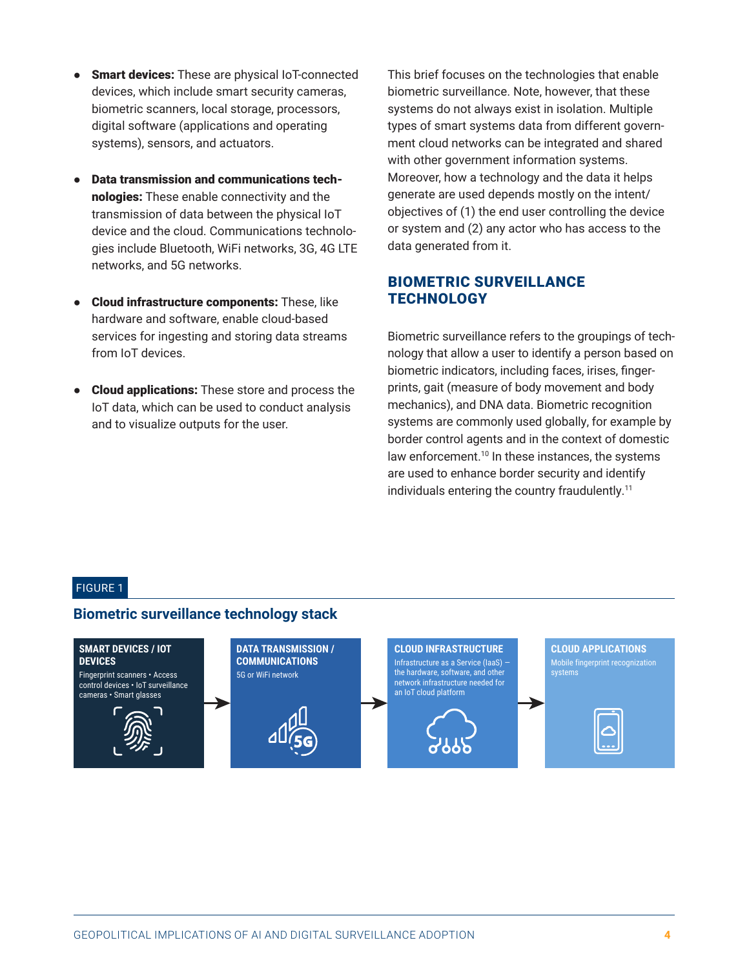- Smart devices: These are physical IoT-connected devices, which include smart security cameras, biometric scanners, local storage, processors, digital software (applications and operating systems), sensors, and actuators.
- **Data transmission and communications tech**nologies: These enable connectivity and the transmission of data between the physical IoT device and the cloud. Communications technologies include Bluetooth, WiFi networks, 3G, 4G LTE networks, and 5G networks.
- Cloud infrastructure components: These, like hardware and software, enable cloud-based services for ingesting and storing data streams from IoT devices.
- Cloud applications: These store and process the IoT data, which can be used to conduct analysis and to visualize outputs for the user.

This brief focuses on the technologies that enable biometric surveillance. Note, however, that these systems do not always exist in isolation. Multiple types of smart systems data from different government cloud networks can be integrated and shared with other government information systems. Moreover, how a technology and the data it helps generate are used depends mostly on the intent/ objectives of (1) the end user controlling the device or system and (2) any actor who has access to the data generated from it.

#### BIOMETRIC SURVEILLANCE **TECHNOLOGY**

Biometric surveillance refers to the groupings of technology that allow a user to identify a person based on biometric indicators, including faces, irises, fingerprints, gait (measure of body movement and body mechanics), and DNA data. Biometric recognition systems are commonly used globally, for example by border control agents and in the context of domestic law enforcement.<sup>[10](#page-12-0)</sup> In these instances, the systems are used to enhance border security and identify individuals entering the country fraudulently.<sup>[11](#page-12-0)</sup>

#### FIGURE 1

#### **Biometric surveillance technology stack**

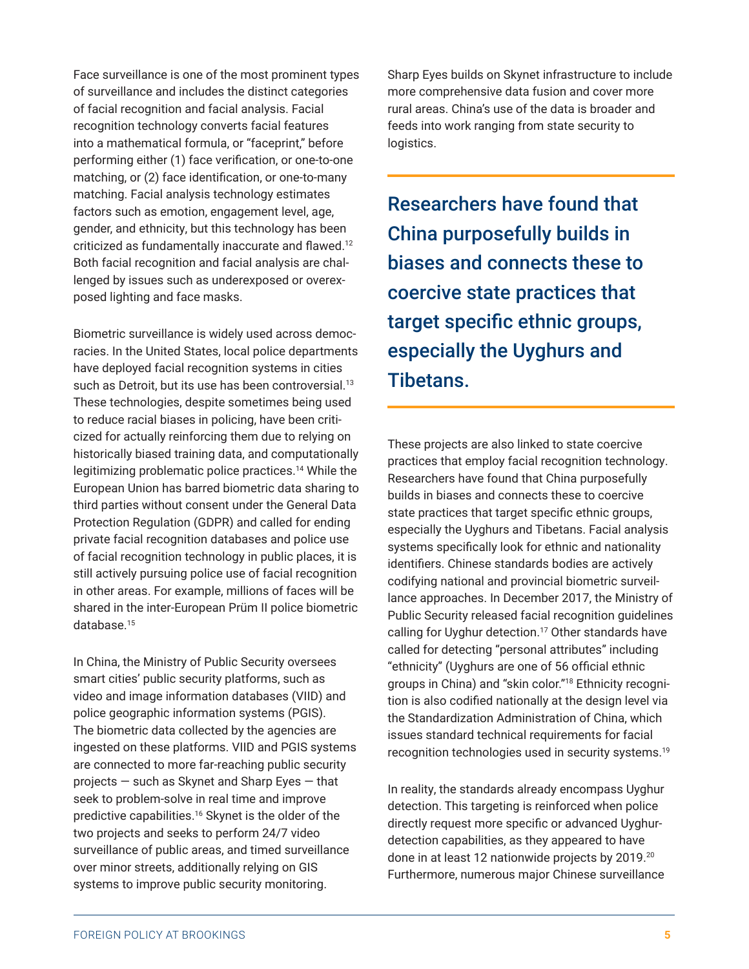Protection Regulation (GDPR) and called for ending private facial recognition databases and police use of facial recognition technology in public places, it is still actively pursuing police use of facial recognition in other areas. For example, millions of faces will be shared in the inter-European Prüm II police biometric database.[15](#page-13-0) In China, the Ministry of Public Security oversees

posed lighting and face masks.

smart cities' public security platforms, such as video and image information databases (VIID) and police geographic information systems (PGIS). The biometric data collected by the agencies are ingested on these platforms. VIID and PGIS systems are connected to more far-reaching public security projects — such as Skynet and Sharp Eyes — that seek to problem-solve in real time and improve predictive capabilities.[16](#page-13-0) Skynet is the older of the two projects and seeks to perform 24/7 video surveillance of public areas, and timed surveillance over minor streets, additionally relying on GIS systems to improve public security monitoring.

<span id="page-4-0"></span>Face surveillance is one of the most prominent types of surveillance and includes the distinct categories of facial recognition and facial analysis. Facial recognition technology converts facial features into a mathematical formula, or "faceprint," before performing either (1) face verification, or one-to-one matching, or (2) face identification, or one-to-many matching. Facial analysis technology estimates factors such as emotion, engagement level, age, gender, and ethnicity, but this technology has been criticized as fundamentally inaccurate and flawed.[12](#page-13-0) Both facial recognition and facial analysis are challenged by issues such as underexposed or overex-

Biometric surveillance is widely used across democracies. In the United States, local police departments have deployed facial recognition systems in cities such as Detroit, but its use has been controversial.<sup>[13](#page-13-0)</sup> These technologies, despite sometimes being used to reduce racial biases in policing, have been criticized for actually reinforcing them due to relying on historically biased training data, and computationally legitimizing problematic police practices.<sup>[14](#page-13-0)</sup> While the European Union has barred biometric data sharing to third parties without consent under the General Data

Sharp Eyes builds on Skynet infrastructure to include more comprehensive data fusion and cover more rural areas. China's use of the data is broader and feeds into work ranging from state security to logistics.

Researchers have found that China purposefully builds in biases and connects these to coercive state practices that target specific ethnic groups, especially the Uyghurs and Tibetans.

These projects are also linked to state coercive practices that employ facial recognition technology. Researchers have found that China purposefully builds in biases and connects these to coercive state practices that target specific ethnic groups, especially the Uyghurs and Tibetans. Facial analysis systems specifically look for ethnic and nationality identifiers. Chinese standards bodies are actively codifying national and provincial biometric surveillance approaches. In December 2017, the Ministry of Public Security released facial recognition guidelines calling for Uyghur detection.<sup>[17](#page-13-0)</sup> Other standards have called for detecting "personal attributes" including "ethnicity" (Uyghurs are one of 56 official ethnic groups in China) and "skin color."[18](#page-13-0) Ethnicity recognition is also codified nationally at the design level via the Standardization Administration of China, which issues standard technical requirements for facial recognition technologies used in security systems[.19](#page-13-0)

In reality, the standards already encompass Uyghur detection. This targeting is reinforced when police directly request more specific or advanced Uyghurdetection capabilities, as they appeared to have done in at least 12 nationwide projects by 2019.[20](#page-13-0) Furthermore, numerous major Chinese surveillance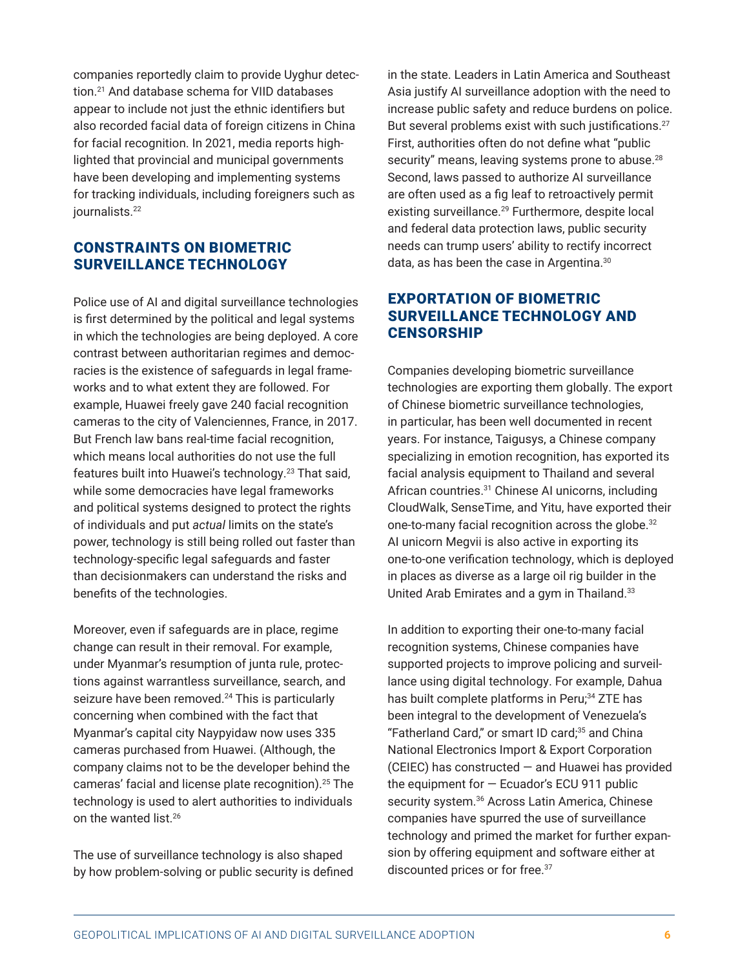companies reportedly claim to provide Uyghur detection.[21](#page-13-0) And database schema for VIID databases appear to include not just the ethnic identifiers but also recorded facial data of foreign citizens in China for facial recognition. In 2021, media reports highlighted that provincial and municipal governments have been developing and implementing systems for tracking individuals, including foreigners such as iournalists.<sup>[22](#page-14-0)</sup>

#### CONSTRAINTS ON BIOMETRIC SURVEILLANCE TECHNOLOGY

Police use of AI and digital surveillance technologies is first determined by the political and legal systems in which the technologies are being deployed. A core contrast between authoritarian regimes and democracies is the existence of safeguards in legal frameworks and to what extent they are followed. For example, Huawei freely gave 240 facial recognition cameras to the city of Valenciennes, France, in 2017. But French law bans real-time facial recognition, which means local authorities do not use the full features built into Huawei's technology.[23](#page-14-0) That said, while some democracies have legal frameworks and political systems designed to protect the rights of individuals and put *actual* limits on the state's power, technology is still being rolled out faster than technology-specific legal safeguards and faster than decisionmakers can understand the risks and benefits of the technologies.

Moreover, even if safeguards are in place, regime change can result in their removal. For example, under Myanmar's resumption of junta rule, protections against warrantless surveillance, search, and seizure have been removed.<sup>[24](#page-14-0)</sup> This is particularly concerning when combined with the fact that Myanmar's capital city Naypyidaw now uses 335 cameras purchased from Huawei. (Although, the company claims not to be the developer behind the cameras' facial and license plate recognition).[25](#page-14-0) The technology is used to alert authorities to individuals on the wanted list.[26](#page-14-0)

The use of surveillance technology is also shaped by how problem-solving or public security is defined

in the state. Leaders in Latin America and Southeast Asia justify AI surveillance adoption with the need to increase public safety and reduce burdens on police. But several problems exist with such justifications.<sup>[27](#page-14-0)</sup> First, authorities often do not define what "public security" means, leaving systems prone to abuse.<sup>[28](#page-14-0)</sup> Second, laws passed to authorize AI surveillance are often used as a fig leaf to retroactively permit existing surveillance.<sup>[29](#page-14-0)</sup> Furthermore, despite local and federal data protection laws, public security needs can trump users' ability to rectify incorrect data, as has been the case in Argentina.<sup>[30](#page-14-0)</sup>

#### EXPORTATION OF BIOMETRIC SURVEILLANCE TECHNOLOGY AND **CENSORSHIP**

Companies developing biometric surveillance technologies are exporting them globally. The export of Chinese biometric surveillance technologies, in particular, has been well documented in recent years. For instance, Taigusys, a Chinese company specializing in emotion recognition, has exported its facial analysis equipment to Thailand and several African countries.[31](#page-14-0) Chinese AI unicorns, including CloudWalk, SenseTime, and Yitu, have exported their one-to-many facial recognition across the globe.<sup>[32](#page-14-0)</sup> AI unicorn Megvii is also active in exporting its one-to-one verification technology, which is deployed in places as diverse as a large oil rig builder in the United Arab Emirates and a gym in Thailand.<sup>[33](#page-14-0)</sup>

In addition to exporting their one-to-many facial recognition systems, Chinese companies have supported projects to improve policing and surveillance using digital technology. For example, Dahua has built complete platforms in Peru;<sup>34</sup> ZTE has been integral to the development of Venezuela's "Fatherland Card," or smart ID card;<sup>35</sup> and China National Electronics Import & Export Corporation (CEIEC) has constructed — and Huawei has provided the equipment for  $-$  Ecuador's ECU 911 public security system.<sup>[36](#page-15-0)</sup> Across Latin America, Chinese companies have spurred the use of surveillance technology and primed the market for further expansion by offering equipment and software either at discounted prices or for free.[37](#page-15-0)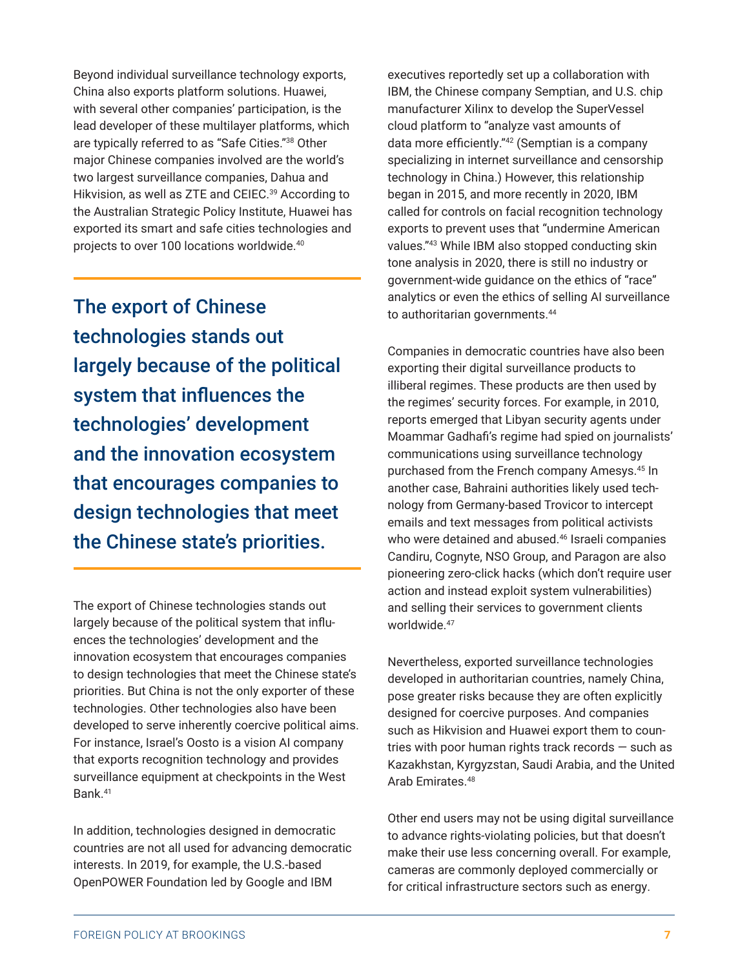Beyond individual surveillance technology exports, China also exports platform solutions. Huawei, with several other companies' participation, is the lead developer of these multilayer platforms, which are typically referred to as "Safe Cities."[38](#page-15-0) Other major Chinese companies involved are the world's two largest surveillance companies, Dahua and Hikvision, as well as ZTE and CEIEC.<sup>39</sup> According to the Australian Strategic Policy Institute, Huawei has exported its smart and safe cities technologies and projects to over 100 locations worldwide.<sup>[40](#page-15-0)</sup>

The export of Chinese technologies stands out largely because of the political system that influences the technologies' development and the innovation ecosystem that encourages companies to design technologies that meet the Chinese state's priorities.

The export of Chinese technologies stands out largely because of the political system that influences the technologies' development and the innovation ecosystem that encourages companies to design technologies that meet the Chinese state's priorities. But China is not the only exporter of these technologies. Other technologies also have been developed to serve inherently coercive political aims. For instance, Israel's Oosto is a vision AI company that exports recognition technology and provides surveillance equipment at checkpoints in the West Bank.[41](#page-15-0)

In addition, technologies designed in democratic countries are not all used for advancing democratic interests. In 2019, for example, the U.S.-based OpenPOWER Foundation led by Google and IBM

executives reportedly set up a collaboration with IBM, the Chinese company Semptian, and U.S. chip manufacturer Xilinx to develop the SuperVessel cloud platform to "analyze vast amounts of data more efficiently."[42](#page-15-0) (Semptian is a company specializing in internet surveillance and censorship technology in China.) However, this relationship began in 2015, and more recently in 2020, IBM called for controls on facial recognition technology exports to prevent uses that "undermine American values."[43](#page-15-0) While IBM also stopped conducting skin tone analysis in 2020, there is still no industry or government-wide guidance on the ethics of "race" analytics or even the ethics of selling AI surveillance to authoritarian governments.<sup>[44](#page-15-0)</sup>

Companies in democratic countries have also been exporting their digital surveillance products to illiberal regimes. These products are then used by the regimes' security forces. For example, in 2010, reports emerged that Libyan security agents under Moammar Gadhafi's regime had spied on journalists' communications using surveillance technology purchased from the French company Amesys.[45](#page-15-0) In another case, Bahraini authorities likely used technology from Germany-based Trovicor to intercept emails and text messages from political activists who were detained and abused.<sup>[46](#page-15-0)</sup> Israeli companies Candiru, Cognyte, NSO Group, and Paragon are also pioneering zero-click hacks (which don't require user action and instead exploit system vulnerabilities) and selling their services to government clients worldwide.<sup>[47](#page-15-0)</sup>

Nevertheless, exported surveillance technologies developed in authoritarian countries, namely China, pose greater risks because they are often explicitly designed for coercive purposes. And companies such as Hikvision and Huawei export them to countries with poor human rights track records — such as Kazakhstan, Kyrgyzstan, Saudi Arabia, and the United Arab Emirates.<sup>[48](#page-15-0)</sup>

Other end users may not be using digital surveillance to advance rights-violating policies, but that doesn't make their use less concerning overall. For example, cameras are commonly deployed commercially or for critical infrastructure sectors such as energy.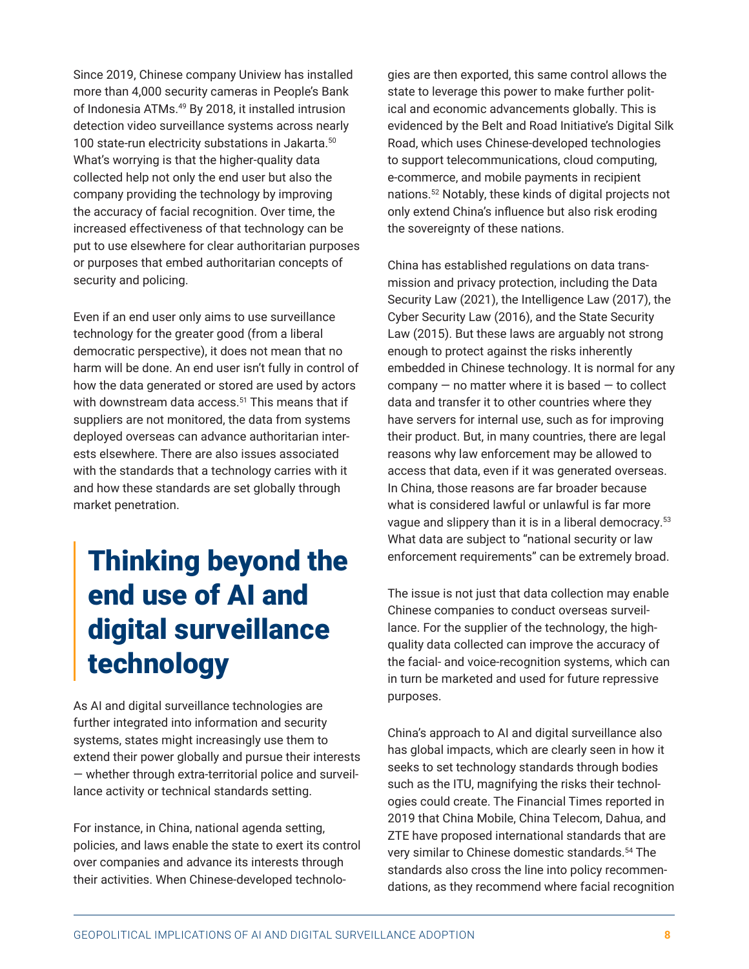Since 2019, Chinese company Uniview has installed more than 4,000 security cameras in People's Bank of Indonesia ATMs.<sup>[49](#page-15-0)</sup> By 2018, it installed intrusion detection video surveillance systems across nearly 100 state-run electricity substations in Jakarta.<sup>[50](#page-15-0)</sup> What's worrying is that the higher-quality data collected help not only the end user but also the company providing the technology by improving the accuracy of facial recognition. Over time, the increased effectiveness of that technology can be put to use elsewhere for clear authoritarian purposes or purposes that embed authoritarian concepts of security and policing.

Even if an end user only aims to use surveillance technology for the greater good (from a liberal democratic perspective), it does not mean that no harm will be done. An end user isn't fully in control of how the data generated or stored are used by actors with downstream data access.<sup>[51](#page-15-0)</sup> This means that if suppliers are not monitored, the data from systems deployed overseas can advance authoritarian interests elsewhere. There are also issues associated with the standards that a technology carries with it and how these standards are set globally through market penetration.

# Thinking beyond the end use of AI and digital surveillance technology

As AI and digital surveillance technologies are further integrated into information and security systems, states might increasingly use them to extend their power globally and pursue their interests — whether through extra-territorial police and surveillance activity or technical standards setting.

For instance, in China, national agenda setting, policies, and laws enable the state to exert its control over companies and advance its interests through their activities. When Chinese-developed technolo-

gies are then exported, this same control allows the state to leverage this power to make further political and economic advancements globally. This is evidenced by the Belt and Road Initiative's Digital Silk Road, which uses Chinese-developed technologies to support telecommunications, cloud computing, e-commerce, and mobile payments in recipient nations.[52](#page-16-0) Notably, these kinds of digital projects not only extend China's influence but also risk eroding the sovereignty of these nations.

China has established regulations on data transmission and privacy protection, including the Data Security Law (2021), the Intelligence Law (2017), the Cyber Security Law (2016), and the State Security Law (2015). But these laws are arguably not strong enough to protect against the risks inherently embedded in Chinese technology. It is normal for any  $company - no matter where it is based - to collect$ data and transfer it to other countries where they have servers for internal use, such as for improving their product. But, in many countries, there are legal reasons why law enforcement may be allowed to access that data, even if it was generated overseas. In China, those reasons are far broader because what is considered lawful or unlawful is far more vague and slippery than it is in a liberal democracy.[53](#page-16-0) What data are subject to "national security or law enforcement requirements" can be extremely broad.

The issue is not just that data collection may enable Chinese companies to conduct overseas surveillance. For the supplier of the technology, the highquality data collected can improve the accuracy of the facial- and voice-recognition systems, which can in turn be marketed and used for future repressive purposes.

China's approach to AI and digital surveillance also has global impacts, which are clearly seen in how it seeks to set technology standards through bodies such as the ITU, magnifying the risks their technologies could create. The Financial Times reported in 2019 that China Mobile, China Telecom, Dahua, and ZTE have proposed international standards that are very similar to Chinese domestic standards.[54](#page-16-0) The standards also cross the line into policy recommendations, as they recommend where facial recognition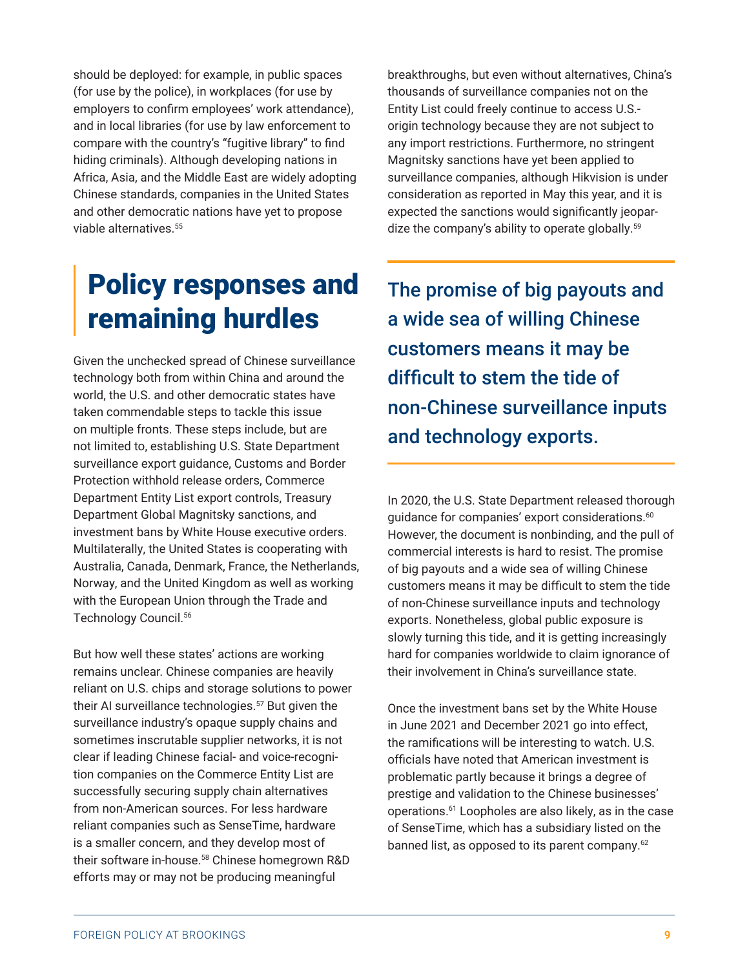should be deployed: for example, in public spaces (for use by the police), in workplaces (for use by employers to confirm employees' work attendance), and in local libraries (for use by law enforcement to compare with the country's "fugitive library" to find hiding criminals). Although developing nations in Africa, Asia, and the Middle East are widely adopting Chinese standards, companies in the United States and other democratic nations have yet to propose viable alternatives.<sup>[55](#page-16-0)</sup>

### Policy responses and remaining hurdles

Given the unchecked spread of Chinese surveillance technology both from within China and around the world, the U.S. and other democratic states have taken commendable steps to tackle this issue on multiple fronts. These steps include, but are not limited to, establishing U.S. State Department surveillance export guidance, Customs and Border Protection withhold release orders, Commerce Department Entity List export controls, Treasury Department Global Magnitsky sanctions, and investment bans by White House executive orders. Multilaterally, the United States is cooperating with Australia, Canada, Denmark, France, the Netherlands, Norway, and the United Kingdom as well as working with the European Union through the Trade and Technology Council.[56](#page-16-0)

But how well these states' actions are working remains unclear. Chinese companies are heavily reliant on U.S. chips and storage solutions to power their AI surveillance technologies.<sup>[57](#page-16-0)</sup> But given the surveillance industry's opaque supply chains and sometimes inscrutable supplier networks, it is not clear if leading Chinese facial- and voice-recognition companies on the Commerce Entity List are successfully securing supply chain alternatives from non-American sources. For less hardware reliant companies such as SenseTime, hardware is a smaller concern, and they develop most of their software in-house.[58](#page-16-0) Chinese homegrown R&D efforts may or may not be producing meaningful

breakthroughs, but even without alternatives, China's thousands of surveillance companies not on the Entity List could freely continue to access U.S. origin technology because they are not subject to any import restrictions. Furthermore, no stringent Magnitsky sanctions have yet been applied to surveillance companies, although Hikvision is under consideration as reported in May this year, and it is expected the sanctions would significantly jeopar-dize the company's ability to operate globally.<sup>[59](#page-16-0)</sup>

The promise of big payouts and a wide sea of willing Chinese customers means it may be difficult to stem the tide of non-Chinese surveillance inputs and technology exports.

In 2020, the U.S. State Department released thorough guidance for companies' export considerations.<sup>[60](#page-16-0)</sup> However, the document is nonbinding, and the pull of commercial interests is hard to resist. The promise of big payouts and a wide sea of willing Chinese customers means it may be difficult to stem the tide of non-Chinese surveillance inputs and technology exports. Nonetheless, global public exposure is slowly turning this tide, and it is getting increasingly hard for companies worldwide to claim ignorance of their involvement in China's surveillance state.

Once the investment bans set by the White House in June 2021 and December 2021 go into effect, the ramifications will be interesting to watch. U.S. officials have noted that American investment is problematic partly because it brings a degree of prestige and validation to the Chinese businesses' operations.[61](#page-16-0) Loopholes are also likely, as in the case of SenseTime, which has a subsidiary listed on the banned list, as opposed to its parent company.<sup>[62](#page-16-0)</sup>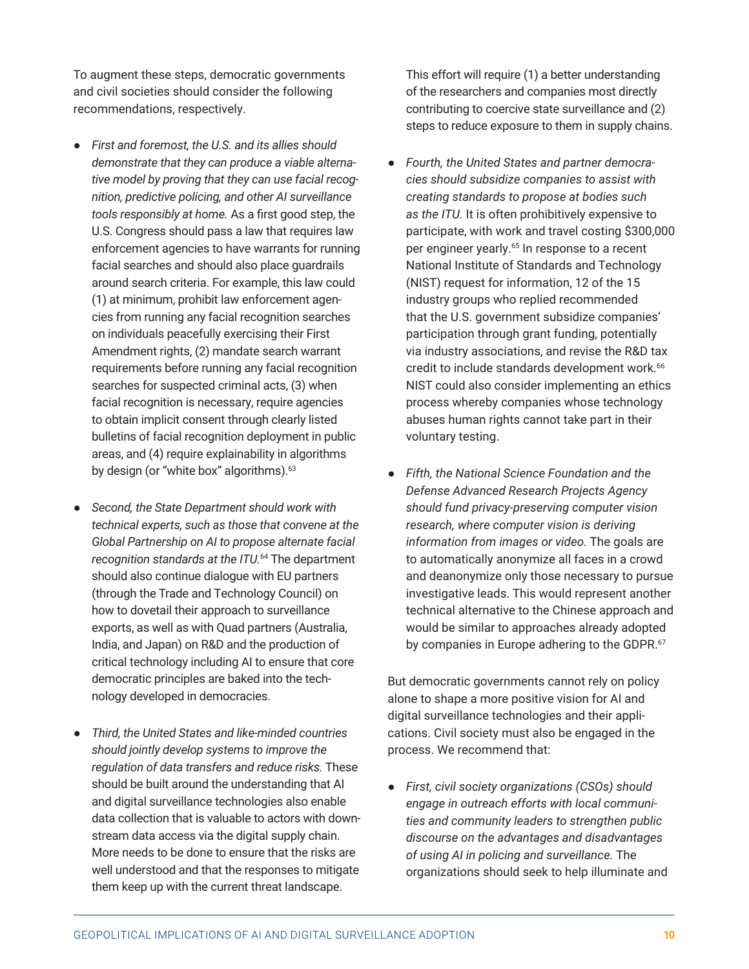To augment these steps, democratic governments and civil societies should consider the following recommendations, respectively.

- *First and foremost, the U.S. and its allies should demonstrate that they can produce a viable alternative model by proving that they can use facial recognition, predictive policing, and other AI surveillance tools responsibly at home.* As a first good step, the U.S. Congress should pass a law that requires law enforcement agencies to have warrants for running facial searches and should also place guardrails around search criteria. For example, this law could (1) at minimum, prohibit law enforcement agencies from running any facial recognition searches on individuals peacefully exercising their First Amendment rights, (2) mandate search warrant requirements before running any facial recognition searches for suspected criminal acts, (3) when facial recognition is necessary, require agencies to obtain implicit consent through clearly listed bulletins of facial recognition deployment in public areas, and (4) require explainability in algorithms by design (or "white box" algorithms).<sup>[63](#page-16-0)</sup>
- *Second, the State Department should work with technical experts, such as those that convene at the Global Partnership on AI to propose alternate facial recognition standards at the ITU.*[64](#page-17-0) The department should also continue dialogue with EU partners (through the Trade and Technology Council) on how to dovetail their approach to surveillance exports, as well as with Quad partners (Australia, India, and Japan) on R&D and the production of critical technology including AI to ensure that core democratic principles are baked into the technology developed in democracies.
- *Third, the United States and like-minded countries should jointly develop systems to improve the regulation of data transfers and reduce risks.* These should be built around the understanding that AI and digital surveillance technologies also enable data collection that is valuable to actors with downstream data access via the digital supply chain. More needs to be done to ensure that the risks are well understood and that the responses to mitigate them keep up with the current threat landscape.

This effort will require (1) a better understanding of the researchers and companies most directly contributing to coercive state surveillance and (2) steps to reduce exposure to them in supply chains.

- *Fourth, the United States and partner democracies should subsidize companies to assist with creating standards to propose at bodies such as the ITU.* It is often prohibitively expensive to participate, with work and travel costing \$300,000 per engineer yearly.<sup>[65](#page-17-0)</sup> In response to a recent National Institute of Standards and Technology (NIST) request for information, 12 of the 15 industry groups who replied recommended that the U.S. government subsidize companies' participation through grant funding, potentially via industry associations, and revise the R&D tax credit to include standards development work.<sup>[66](#page-17-0)</sup> NIST could also consider implementing an ethics process whereby companies whose technology abuses human rights cannot take part in their voluntary testing.
- *Fifth, the National Science Foundation and the Defense Advanced Research Projects Agency should fund privacy-preserving computer vision research, where computer vision is deriving information from images or video.* The goals are to automatically anonymize all faces in a crowd and deanonymize only those necessary to pursue investigative leads. This would represent another technical alternative to the Chinese approach and would be similar to approaches already adopted by companies in Europe adhering to the GDPR.<sup>[67](#page-17-0)</sup>

But democratic governments cannot rely on policy alone to shape a more positive vision for AI and digital surveillance technologies and their applications. Civil society must also be engaged in the process. We recommend that:

● *First, civil society organizations (CSOs) should engage in outreach efforts with local communities and community leaders to strengthen public discourse on the advantages and disadvantages of using AI in policing and surveillance.* The organizations should seek to help illuminate and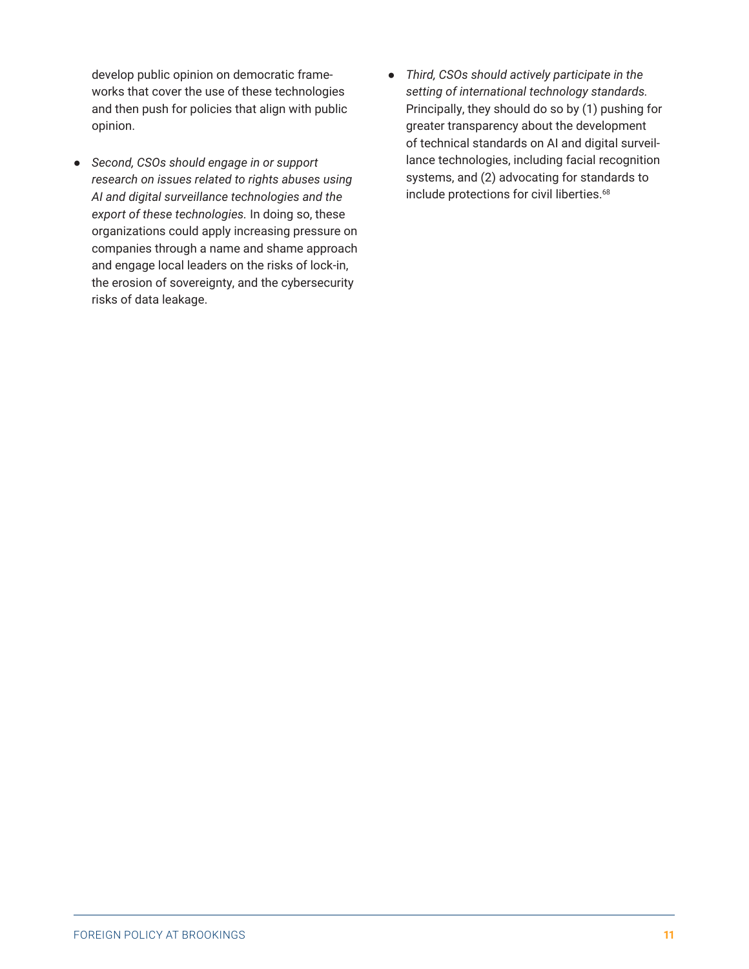develop public opinion on democratic frameworks that cover the use of these technologies and then push for policies that align with public opinion.

- *Second, CSOs should engage in or support research on issues related to rights abuses using AI and digital surveillance technologies and the export of these technologies.* In doing so, these organizations could apply increasing pressure on companies through a name and shame approach and engage local leaders on the risks of lock-in, the erosion of sovereignty, and the cybersecurity risks of data leakage.
- *Third, CSOs should actively participate in the setting of international technology standards.* Principally, they should do so by (1) pushing for greater transparency about the development of technical standards on AI and digital surveillance technologies, including facial recognition systems, and (2) advocating for standards to include protections for civil liberties.<sup>[68](#page-17-0)</sup>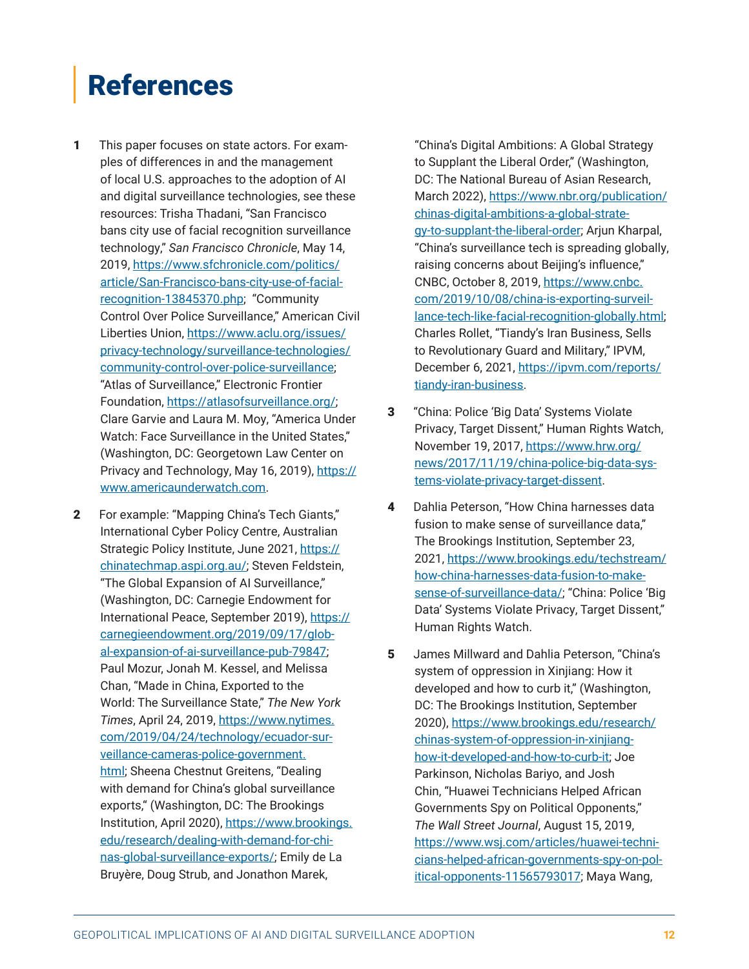# <span id="page-11-0"></span>References

- [1](#page-1-0)  This paper focuses on state actors. For examples of differences in and the management of local U.S. approaches to the adoption of AI and digital surveillance technologies, see these resources: Trisha Thadani, "San Francisco bans city use of facial recognition surveillance technology," *San Francisco Chronicle*, May 14, 2019, [https://www.sfchronicle.com/politics/](https://www.sfchronicle.com/politics/article/San-Francisco-bans-city-use-of-facial-recognition-13845370.php) [article/San-Francisco-bans-city-use-of-facial](https://www.sfchronicle.com/politics/article/San-Francisco-bans-city-use-of-facial-recognition-13845370.php)[recognition-13845370.php](https://www.sfchronicle.com/politics/article/San-Francisco-bans-city-use-of-facial-recognition-13845370.php); "Community Control Over Police Surveillance," American Civil Liberties Union, [https://www.aclu.org/issues/](https://www.aclu.org/issues/privacy-technology/surveillance-technologies/community-control-over-police-surveillance) [privacy-technology/surveillance-technologies/](https://www.aclu.org/issues/privacy-technology/surveillance-technologies/community-control-over-police-surveillance) [community-control-over-police-surveillance](https://www.aclu.org/issues/privacy-technology/surveillance-technologies/community-control-over-police-surveillance); "Atlas of Surveillance," Electronic Frontier Foundation, <https://atlasofsurveillance.org/>; Clare Garvie and Laura M. Moy, "America Under Watch: Face Surveillance in the United States," (Washington, DC: Georgetown Law Center on Privacy and Technology, May 16, 2019), [https://](https://www.americaunderwatch.com) [www.americaunderwatch.com](https://www.americaunderwatch.com).
- [2](#page-2-0)  For example: "Mapping China's Tech Giants," International Cyber Policy Centre, Australian Strategic Policy Institute, June 2021, [https://](https://chinatechmap.aspi.org.au/) [chinatechmap.aspi.org.au/;](https://chinatechmap.aspi.org.au/) Steven Feldstein, "The Global Expansion of AI Surveillance," (Washington, DC: Carnegie Endowment for International Peace, September 2019), [https://](https://carnegieendowment.org/2019/09/17/global-expansion-of-ai-surveillance-pub-79847) [carnegieendowment.org/2019/09/17/glob](https://carnegieendowment.org/2019/09/17/global-expansion-of-ai-surveillance-pub-79847)[al-expansion-of-ai-surveillance-pub-79847;](https://carnegieendowment.org/2019/09/17/global-expansion-of-ai-surveillance-pub-79847) Paul Mozur, Jonah M. Kessel, and Melissa Chan, "Made in China, Exported to the World: The Surveillance State," *The New York Times*, April 24, 2019, [https://www.nytimes.](https://www.nytimes.com/2019/04/24/technology/ecuador-surveillance-cameras-police-government.html) [com/2019/04/24/technology/ecuador-sur](https://www.nytimes.com/2019/04/24/technology/ecuador-surveillance-cameras-police-government.html)[veillance-cameras-police-government.](https://www.nytimes.com/2019/04/24/technology/ecuador-surveillance-cameras-police-government.html) [html;](https://www.nytimes.com/2019/04/24/technology/ecuador-surveillance-cameras-police-government.html) Sheena Chestnut Greitens, "Dealing with demand for China's global surveillance exports," (Washington, DC: The Brookings Institution, April 2020), [https://www.brookings.](https://www.brookings.edu/research/dealing-with-demand-for-chinas-global-surveillance-exports/) [edu/research/dealing-with-demand-for-chi](https://www.brookings.edu/research/dealing-with-demand-for-chinas-global-surveillance-exports/)[nas-global-surveillance-exports/](https://www.brookings.edu/research/dealing-with-demand-for-chinas-global-surveillance-exports/); Emily de La Bruyère, Doug Strub, and Jonathon Marek,

"China's Digital Ambitions: A Global Strategy to Supplant the Liberal Order," (Washington, DC: The National Bureau of Asian Research, March 2022), [https://www.nbr.org/publication/](https://www.nbr.org/publication/chinas-digital-ambitions-a-global-strategy-to-supplant-the-liberal-order) [chinas-digital-ambitions-a-global-strate](https://www.nbr.org/publication/chinas-digital-ambitions-a-global-strategy-to-supplant-the-liberal-order)[gy-to-supplant-the-liberal-order;](https://www.nbr.org/publication/chinas-digital-ambitions-a-global-strategy-to-supplant-the-liberal-order) Arjun Kharpal, "China's surveillance tech is spreading globally, raising concerns about Beijing's influence," CNBC, October 8, 2019, [https://www.cnbc.](https://www.cnbc.com/2019/10/08/china-is-exporting-surveillance-tech-like-facial-recognition-globally.html) [com/2019/10/08/china-is-exporting-surveil](https://www.cnbc.com/2019/10/08/china-is-exporting-surveillance-tech-like-facial-recognition-globally.html)[lance-tech-like-facial-recognition-globally.html;](https://www.cnbc.com/2019/10/08/china-is-exporting-surveillance-tech-like-facial-recognition-globally.html) Charles Rollet, "Tiandy's Iran Business, Sells to Revolutionary Guard and Military," IPVM, December 6, 2021, [https://ipvm.com/reports/](https://ipvm.com/reports/tiandy-iran-business) [tiandy-iran-business.](https://ipvm.com/reports/tiandy-iran-business)

- [3](#page-2-0)  "China: Police 'Big Data' Systems Violate Privacy, Target Dissent," Human Rights Watch, November 19, 2017, [https://www.hrw.org/](https://www.hrw.org/news/2017/11/19/china-police-big-data-systems-violate-privacy-target-dissent) [news/2017/11/19/china-police-big-data-sys](https://www.hrw.org/news/2017/11/19/china-police-big-data-systems-violate-privacy-target-dissent)[tems-violate-privacy-target-dissent](https://www.hrw.org/news/2017/11/19/china-police-big-data-systems-violate-privacy-target-dissent).
- [4](#page-2-0)  Dahlia Peterson, "How China harnesses data fusion to make sense of surveillance data," The Brookings Institution, September 23, 2021, [https://www.brookings.edu/techstream/](https://www.brookings.edu/techstream/how-china-harnesses-data-fusion-to-make-sense-of-surveillance-data/) [how-china-harnesses-data-fusion-to-make](https://www.brookings.edu/techstream/how-china-harnesses-data-fusion-to-make-sense-of-surveillance-data/)[sense-of-surveillance-data/;](https://www.brookings.edu/techstream/how-china-harnesses-data-fusion-to-make-sense-of-surveillance-data/) "China: Police 'Big Data' Systems Violate Privacy, Target Dissent," Human Rights Watch.
- [5](#page-2-0)  James Millward and Dahlia Peterson, "China's system of oppression in Xinjiang: How it developed and how to curb it," (Washington, DC: The Brookings Institution, September 2020), [https://www.brookings.edu/research/](https://www.brookings.edu/research/chinas-system-of-oppression-in-xinjiang-how-it-developed-and-how-to-curb-it) [chinas-system-of-oppression-in-xinjiang](https://www.brookings.edu/research/chinas-system-of-oppression-in-xinjiang-how-it-developed-and-how-to-curb-it)[how-it-developed-and-how-to-curb-it](https://www.brookings.edu/research/chinas-system-of-oppression-in-xinjiang-how-it-developed-and-how-to-curb-it); Joe Parkinson, Nicholas Bariyo, and Josh Chin, "Huawei Technicians Helped African Governments Spy on Political Opponents," *The Wall Street Journal*, August 15, 2019, [https://www.wsj.com/articles/huawei-techni](https://www.wsj.com/articles/huawei-technicians-helped-african-governments-spy-on-political-opponents-11565793017)[cians-helped-african-governments-spy-on-pol](https://www.wsj.com/articles/huawei-technicians-helped-african-governments-spy-on-political-opponents-11565793017)[itical-opponents-11565793017;](https://www.wsj.com/articles/huawei-technicians-helped-african-governments-spy-on-political-opponents-11565793017) Maya Wang,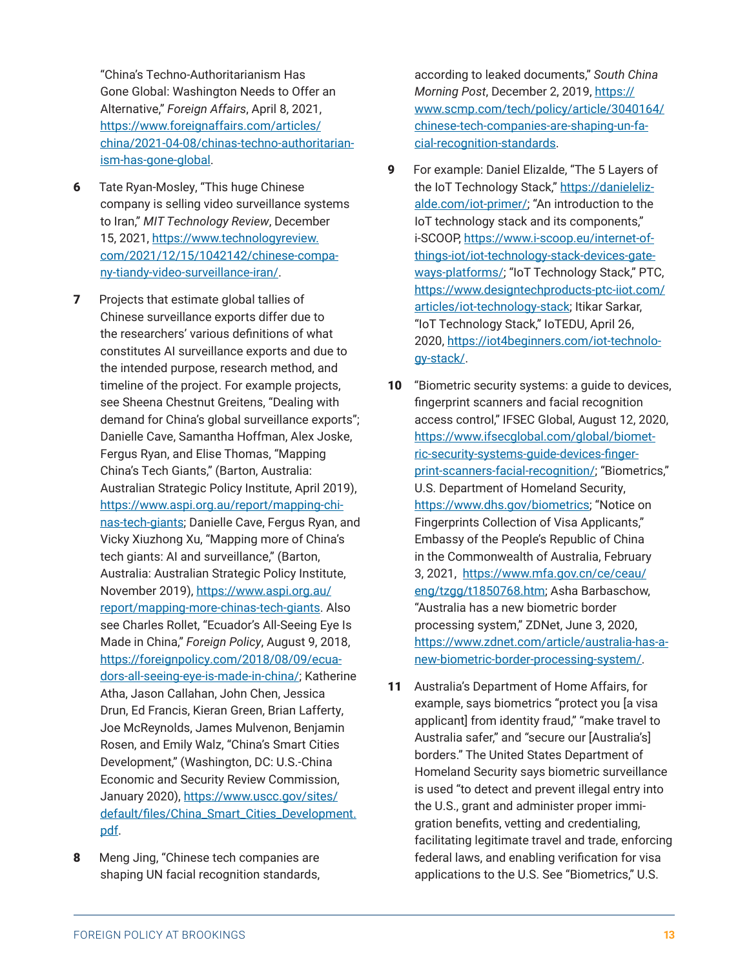<span id="page-12-0"></span>"China's Techno-Authoritarianism Has Gone Global: Washington Needs to Offer an Alternative," *Foreign Affairs*, April 8, 2021, [https://www.foreignaffairs.com/articles/](https://www.foreignaffairs.com/articles/china/2021-04-08/chinas-techno-authoritarianism-has-gone-global) [china/2021-04-08/chinas-techno-authoritarian](https://www.foreignaffairs.com/articles/china/2021-04-08/chinas-techno-authoritarianism-has-gone-global)[ism-has-gone-global](https://www.foreignaffairs.com/articles/china/2021-04-08/chinas-techno-authoritarianism-has-gone-global).

- [6](#page-2-0)  Tate Ryan-Mosley, "This huge Chinese company is selling video surveillance systems to Iran," *MIT Technology Review*, December 15, 2021, [https://www.technologyreview.](https://www.technologyreview.com/2021/12/15/1042142/chinese-company-tiandy-video-surveillance-iran/) [com/2021/12/15/1042142/chinese-compa](https://www.technologyreview.com/2021/12/15/1042142/chinese-company-tiandy-video-surveillance-iran/)[ny-tiandy-video-surveillance-iran/.](https://www.technologyreview.com/2021/12/15/1042142/chinese-company-tiandy-video-surveillance-iran/)
- **7** Projects that estimate global tallies of Chinese surveillance exports differ due to the researchers' various definitions of what constitutes AI surveillance exports and due to the intended purpose, research method, and timeline of the project. For example projects, see Sheena Chestnut Greitens, "Dealing with demand for China's global surveillance exports"; Danielle Cave, Samantha Hoffman, Alex Joske, Fergus Ryan, and Elise Thomas, "Mapping China's Tech Giants," (Barton, Australia: Australian Strategic Policy Institute, April 2019), [https://www.aspi.org.au/report/mapping-chi](https://www.aspi.org.au/report/mapping-chinas-tech-giants)[nas-tech-giants](https://www.aspi.org.au/report/mapping-chinas-tech-giants); Danielle Cave, Fergus Ryan, and Vicky Xiuzhong Xu, "Mapping more of China's tech giants: AI and surveillance," (Barton, Australia: Australian Strategic Policy Institute, November 2019), [https://www.aspi.org.au/](https://www.aspi.org.au/report/mapping-more-chinas-tech-giants) [report/mapping-more-chinas-tech-giants.](https://www.aspi.org.au/report/mapping-more-chinas-tech-giants) Also see Charles Rollet, "Ecuador's All-Seeing Eye Is Made in China," *Foreign Policy*, August 9, 2018, [https://foreignpolicy.com/2018/08/09/ecua](https://foreignpolicy.com/2018/08/09/ecuadors-all-seeing-eye-is-made-in-china/)[dors-all-seeing-eye-is-made-in-china/;](https://foreignpolicy.com/2018/08/09/ecuadors-all-seeing-eye-is-made-in-china/) Katherine Atha, Jason Callahan, John Chen, Jessica Drun, Ed Francis, Kieran Green, Brian Lafferty, Joe McReynolds, James Mulvenon, Benjamin Rosen, and Emily Walz, "China's Smart Cities Development," (Washington, DC: U.S.-China Economic and Security Review Commission, January 2020), [https://www.uscc.gov/sites/](https://www.uscc.gov/sites/default/files/China_Smart_Cities_Development.pdf) [default/files/China\\_Smart\\_Cities\\_Development.](https://www.uscc.gov/sites/default/files/China_Smart_Cities_Development.pdf) [pdf](https://www.uscc.gov/sites/default/files/China_Smart_Cities_Development.pdf).
- 8 Meng Jing, "Chinese tech companies are shaping UN facial recognition standards,

according to leaked documents," *South China Morning Post*, December 2, 2019, [https://](https://www.scmp.com/tech/policy/article/3040164/chinese-tech-companies-are-shaping-un-facial-recognition-standards) [www.scmp.com/tech/policy/article/3040164/](https://www.scmp.com/tech/policy/article/3040164/chinese-tech-companies-are-shaping-un-facial-recognition-standards) [chinese-tech-companies-are-shaping-un-fa](https://www.scmp.com/tech/policy/article/3040164/chinese-tech-companies-are-shaping-un-facial-recognition-standards)[cial-recognition-standards.](https://www.scmp.com/tech/policy/article/3040164/chinese-tech-companies-are-shaping-un-facial-recognition-standards)

- [9](#page-2-0)  For example: Daniel Elizalde, "The 5 Layers of the IoT Technology Stack," [https://danieleliz](https://danielelizalde.com/iot-primer/)[alde.com/iot-primer/](https://danielelizalde.com/iot-primer/); "An introduction to the IoT technology stack and its components," i-SCOOP, [https://www.i-scoop.eu/internet-of](https://www.i-scoop.eu/internet-of-things-iot/iot-technology-stack-devices-gateways-platforms/)[things-iot/iot-technology-stack-devices-gate](https://www.i-scoop.eu/internet-of-things-iot/iot-technology-stack-devices-gateways-platforms/)[ways-platforms/;](https://www.i-scoop.eu/internet-of-things-iot/iot-technology-stack-devices-gateways-platforms/) "IoT Technology Stack," PTC, [https://www.designtechproducts-ptc-iiot.com/](https://www.designtechproducts-ptc-iiot.com/articles/iot-technology-stack) [articles/iot-technology-stack;](https://www.designtechproducts-ptc-iiot.com/articles/iot-technology-stack) Itikar Sarkar, "IoT Technology Stack," IoTEDU, April 26, 2020, [https://iot4beginners.com/iot-technolo](https://iot4beginners.com/iot-technology-stack/)[gy-stack/](https://iot4beginners.com/iot-technology-stack/).
- 10 "Biometric security systems: a guide to devices, fingerprint scanners and facial recognition access control," IFSEC Global, August 12, 2020, [https://www.ifsecglobal.com/global/biomet](https://www.ifsecglobal.com/global/biometric-security-systems-guide-devices-fingerprint-scanners-facial-recognition/)[ric-security-systems-guide-devices-finger](https://www.ifsecglobal.com/global/biometric-security-systems-guide-devices-fingerprint-scanners-facial-recognition/)[print-scanners-facial-recognition/](https://www.ifsecglobal.com/global/biometric-security-systems-guide-devices-fingerprint-scanners-facial-recognition/); "Biometrics," U.S. Department of Homeland Security, <https://www.dhs.gov/biometrics>; "Notice on Fingerprints Collection of Visa Applicants," Embassy of the People's Republic of China in the Commonwealth of Australia, February 3, 2021, [https://www.mfa.gov.cn/ce/ceau/](https://www.mfa.gov.cn/ce/ceau/eng/tzgg/t1850768.htm) [eng/tzgg/t1850768.htm;](https://www.mfa.gov.cn/ce/ceau/eng/tzgg/t1850768.htm) Asha Barbaschow, "Australia has a new biometric border processing system," ZDNet, June 3, 2020, [https://www.zdnet.com/article/australia-has-a](https://www.zdnet.com/article/australia-has-a-new-biometric-border-processing-system/)[new-biometric-border-processing-system/.](https://www.zdnet.com/article/australia-has-a-new-biometric-border-processing-system/)
- 11 Australia's Department of Home Affairs, for example, says biometrics "protect you [a visa applicant] from identity fraud," "make travel to Australia safer," and "secure our [Australia's] borders." The United States Department of Homeland Security says biometric surveillance is used "to detect and prevent illegal entry into the U.S., grant and administer proper immigration benefits, vetting and credentialing, facilitating legitimate travel and trade, enforcing federal laws, and enabling verification for visa applications to the U.S. See "Biometrics," U.S.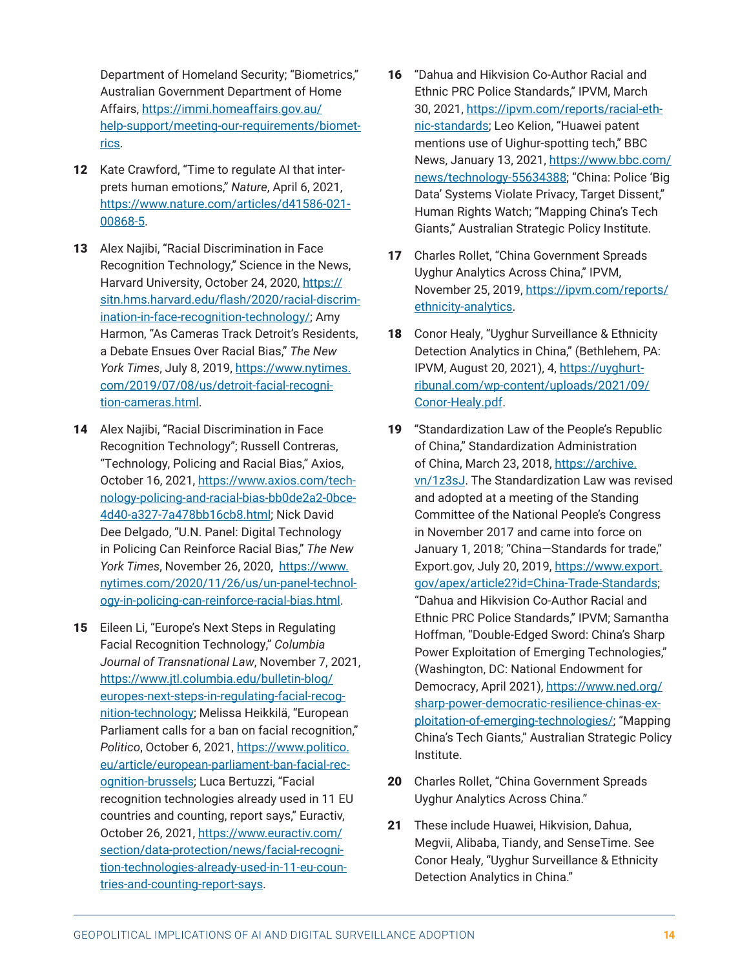<span id="page-13-0"></span>Department of Homeland Security; "Biometrics," Australian Government Department of Home Affairs, [https://immi.homeaffairs.gov.au/](https://immi.homeaffairs.gov.au/help-support/meeting-our-requirements/biometrics) [help-support/meeting-our-requirements/biomet](https://immi.homeaffairs.gov.au/help-support/meeting-our-requirements/biometrics)[rics](https://immi.homeaffairs.gov.au/help-support/meeting-our-requirements/biometrics).

- 12 Kate Crawford, "Time to regulate AI that interprets human emotions," *Nature*, April 6, 2021, [https://www.nature.com/articles/d41586-021-](https://www.nature.com/articles/d41586-021-00868-5) [00868-5](https://www.nature.com/articles/d41586-021-00868-5).
- 13 Alex Najibi, "Racial Discrimination in Face Recognition Technology," Science in the News, Harvard University, October 24, 2020, [https://](https://sitn.hms.harvard.edu/flash/2020/racial-discrimination-in-face-recognition-technology/) [sitn.hms.harvard.edu/flash/2020/racial-discrim](https://sitn.hms.harvard.edu/flash/2020/racial-discrimination-in-face-recognition-technology/)[ination-in-face-recognition-technology/;](https://sitn.hms.harvard.edu/flash/2020/racial-discrimination-in-face-recognition-technology/) Amy Harmon, "As Cameras Track Detroit's Residents, a Debate Ensues Over Racial Bias," *The New York Times*, July 8, 2019, [https://www.nytimes.](https://www.nytimes.com/2019/07/08/us/detroit-facial-recognition-cameras.html) [com/2019/07/08/us/detroit-facial-recogni](https://www.nytimes.com/2019/07/08/us/detroit-facial-recognition-cameras.html)[tion-cameras.html.](https://www.nytimes.com/2019/07/08/us/detroit-facial-recognition-cameras.html)
- [14](#page-4-0) Alex Najibi, "Racial Discrimination in Face Recognition Technology"; Russell Contreras, "Technology, Policing and Racial Bias," Axios, October 16, 2021, [https://www.axios.com/tech](https://www.axios.com/technology-policing-and-racial-bias-bb0de2a2-0bce-4d40-a327-7a478bb16cb8.html)[nology-policing-and-racial-bias-bb0de2a2-0bce-](https://www.axios.com/technology-policing-and-racial-bias-bb0de2a2-0bce-4d40-a327-7a478bb16cb8.html)[4d40-a327-7a478bb16cb8.html](https://www.axios.com/technology-policing-and-racial-bias-bb0de2a2-0bce-4d40-a327-7a478bb16cb8.html); Nick David Dee Delgado, "U.N. Panel: Digital Technology in Policing Can Reinforce Racial Bias," *The New York Times*, November 26, 2020, [https://www.](https://www.nytimes.com/2020/11/26/us/un-panel-technology-in-policing-can-reinforce-racial-bias.html) [nytimes.com/2020/11/26/us/un-panel-technol](https://www.nytimes.com/2020/11/26/us/un-panel-technology-in-policing-can-reinforce-racial-bias.html)[ogy-in-policing-can-reinforce-racial-bias.html](https://www.nytimes.com/2020/11/26/us/un-panel-technology-in-policing-can-reinforce-racial-bias.html).
- 15 Eileen Li, "Europe's Next Steps in Regulating Facial Recognition Technology," *Columbia Journal of Transnational Law*, November 7, 2021, [https://www.jtl.columbia.edu/bulletin-blog/](https://www.jtl.columbia.edu/bulletin-blog/europes-next-steps-in-regulating-facial-recognition-technology) [europes-next-steps-in-regulating-facial-recog](https://www.jtl.columbia.edu/bulletin-blog/europes-next-steps-in-regulating-facial-recognition-technology)[nition-technology](https://www.jtl.columbia.edu/bulletin-blog/europes-next-steps-in-regulating-facial-recognition-technology); Melissa Heikkilä, "European Parliament calls for a ban on facial recognition," *Politico*, October 6, 2021, [https://www.politico.](https://www.politico.eu/article/european-parliament-ban-facial-recognition-brussels) [eu/article/european-parliament-ban-facial-rec](https://www.politico.eu/article/european-parliament-ban-facial-recognition-brussels)[ognition-brussels](https://www.politico.eu/article/european-parliament-ban-facial-recognition-brussels); Luca Bertuzzi, "Facial recognition technologies already used in 11 EU countries and counting, report says," Euractiv, October 26, 2021, [https://www.euractiv.com/](https://www.euractiv.com/section/data-protection/news/facial-recognition-technologies-already-used-in-11-eu-countries-and-counting-report-says) [section/data-protection/news/facial-recogni](https://www.euractiv.com/section/data-protection/news/facial-recognition-technologies-already-used-in-11-eu-countries-and-counting-report-says)[tion-technologies-already-used-in-11-eu-coun](https://www.euractiv.com/section/data-protection/news/facial-recognition-technologies-already-used-in-11-eu-countries-and-counting-report-says)[tries-and-counting-report-says](https://www.euractiv.com/section/data-protection/news/facial-recognition-technologies-already-used-in-11-eu-countries-and-counting-report-says).
- 16 "Dahua and Hikvision Co-Author Racial and Ethnic PRC Police Standards," IPVM, March 30, 2021, [https://ipvm.com/reports/racial-eth](https://ipvm.com/reports/racial-ethnic-standards)[nic-standards](https://ipvm.com/reports/racial-ethnic-standards); Leo Kelion, "Huawei patent mentions use of Uighur-spotting tech," BBC News, January 13, 2021, [https://www.bbc.com/](https://www.bbc.com/news/technology-55634388) [news/technology-55634388](https://www.bbc.com/news/technology-55634388); "China: Police 'Big Data' Systems Violate Privacy, Target Dissent," Human Rights Watch; "Mapping China's Tech Giants," Australian Strategic Policy Institute.
- 17 Charles Rollet, "China Government Spreads Uyghur Analytics Across China," IPVM, November 25, 2019, [https://ipvm.com/reports/](https://ipvm.com/reports/ethnicity-analytics) [ethnicity-analytics](https://ipvm.com/reports/ethnicity-analytics).
- 18 Conor Healy, "Uyghur Surveillance & Ethnicity Detection Analytics in China," (Bethlehem, PA: IPVM, August 20, 2021), 4, [https://uyghurt](https://uyghurtribunal.com/wp-content/uploads/2021/09/Conor-Healy.pdf)[ribunal.com/wp-content/uploads/2021/09/](https://uyghurtribunal.com/wp-content/uploads/2021/09/Conor-Healy.pdf) [Conor-Healy.pdf.](https://uyghurtribunal.com/wp-content/uploads/2021/09/Conor-Healy.pdf)
- 19 "Standardization Law of the People's Republic of China," Standardization Administration of China, March 23, 2018, [https://archive.](https://archive.vn/1z3sJ) [vn/1z3sJ](https://archive.vn/1z3sJ). The Standardization Law was revised and adopted at a meeting of the Standing Committee of the National People's Congress in November 2017 and came into force on January 1, 2018; "China—Standards for trade," Export.gov, July 20, 2019, [https://www.export.](https://www.export.gov/apex/article2?id=China-Trade-Standards) [gov/apex/article2?id=China-Trade-Standards;](https://www.export.gov/apex/article2?id=China-Trade-Standards) "Dahua and Hikvision Co-Author Racial and Ethnic PRC Police Standards," IPVM; Samantha Hoffman, "Double-Edged Sword: China's Sharp Power Exploitation of Emerging Technologies," (Washington, DC: National Endowment for Democracy, April 2021), [https://www.ned.org/](https://www.ned.org/sharp-power-democratic-resilience-chinas-exploitation-of-emerging-technologies/) [sharp-power-democratic-resilience-chinas-ex](https://www.ned.org/sharp-power-democratic-resilience-chinas-exploitation-of-emerging-technologies/)[ploitation-of-emerging-technologies/](https://www.ned.org/sharp-power-democratic-resilience-chinas-exploitation-of-emerging-technologies/); "Mapping China's Tech Giants," Australian Strategic Policy Institute.
- 20 Charles Rollet, "China Government Spreads Uyghur Analytics Across China."
- 21 These include Huawei, Hikvision, Dahua, Megvii, Alibaba, Tiandy, and SenseTime. See Conor Healy, "Uyghur Surveillance & Ethnicity Detection Analytics in China."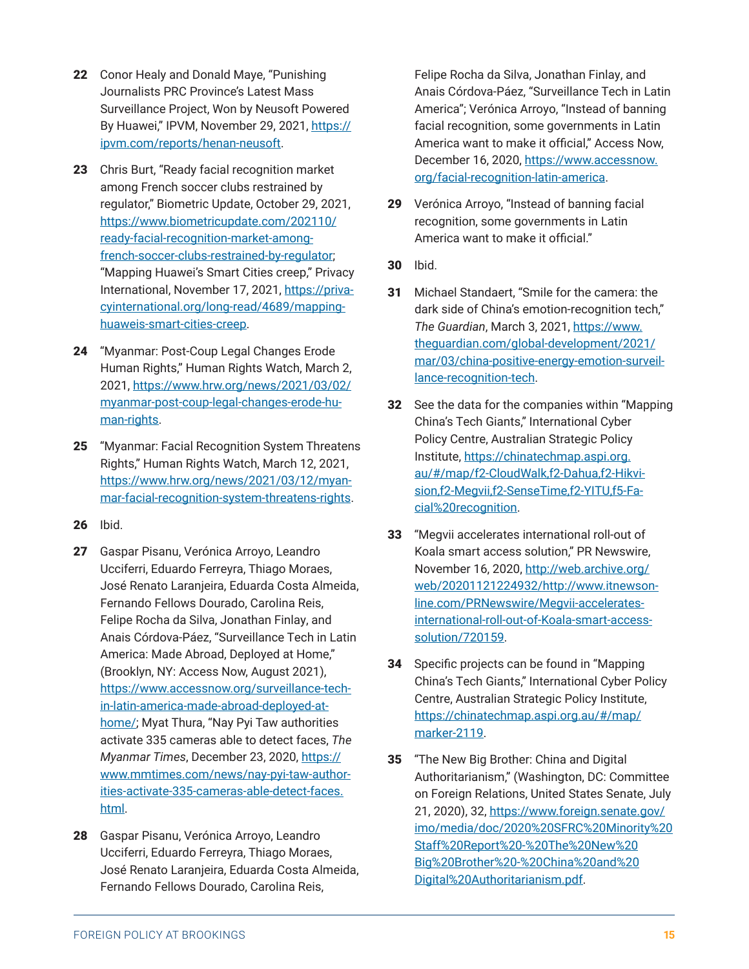- <span id="page-14-0"></span>22 Conor Healy and Donald Maye, "Punishing Journalists PRC Province's Latest Mass Surveillance Project, Won by Neusoft Powered By Huawei," IPVM, November 29, 2021, [https://](https://ipvm.com/reports/henan-neusoft) [ipvm.com/reports/henan-neusoft.](https://ipvm.com/reports/henan-neusoft)
- 23 Chris Burt, "Ready facial recognition market among French soccer clubs restrained by regulator," Biometric Update, October 29, 2021, [https://www.biometricupdate.com/202110/](https://www.biometricupdate.com/202110/ready-facial-recognition-market-among-french-soccer-clubs-restrained-by-regulator) [ready-facial-recognition-market-among](https://www.biometricupdate.com/202110/ready-facial-recognition-market-among-french-soccer-clubs-restrained-by-regulator)[french-soccer-clubs-restrained-by-regulator](https://www.biometricupdate.com/202110/ready-facial-recognition-market-among-french-soccer-clubs-restrained-by-regulator); "Mapping Huawei's Smart Cities creep," Privacy International, November 17, 2021, [https://priva](https://privacyinternational.org/long-read/4689/mapping-huaweis-smart-cities-creep)[cyinternational.org/long-read/4689/mapping](https://privacyinternational.org/long-read/4689/mapping-huaweis-smart-cities-creep)[huaweis-smart-cities-creep.](https://privacyinternational.org/long-read/4689/mapping-huaweis-smart-cities-creep)
- 24 "Myanmar: Post-Coup Legal Changes Erode Human Rights," Human Rights Watch, March 2, 2021, [https://www.hrw.org/news/2021/03/02/](https://www.hrw.org/news/2021/03/02/myanmar-post-coup-legal-changes-erode-human-rights) [myanmar-post-coup-legal-changes-erode-hu](https://www.hrw.org/news/2021/03/02/myanmar-post-coup-legal-changes-erode-human-rights)[man-rights.](https://www.hrw.org/news/2021/03/02/myanmar-post-coup-legal-changes-erode-human-rights)
- 25 "Myanmar: Facial Recognition System Threatens Rights," Human Rights Watch, March 12, 2021, [https://www.hrw.org/news/2021/03/12/myan](https://www.hrw.org/news/2021/03/12/myanmar-facial-recognition-system-threatens-rights)[mar-facial-recognition-system-threatens-rights.](https://www.hrw.org/news/2021/03/12/myanmar-facial-recognition-system-threatens-rights)
- 26 Ibid.
- 27 Gaspar Pisanu, Verónica Arroyo, Leandro Ucciferri, Eduardo Ferreyra, Thiago Moraes, José Renato Laranjeira, Eduarda Costa Almeida, Fernando Fellows Dourado, Carolina Reis, Felipe Rocha da Silva, Jonathan Finlay, and Anais Córdova-Páez, "Surveillance Tech in Latin America: Made Abroad, Deployed at Home," (Brooklyn, NY: Access Now, August 2021), [https://www.accessnow.org/surveillance-tech](https://www.accessnow.org/surveillance-tech-in-latin-america-made-abroad-deployed-at-home/)[in-latin-america-made-abroad-deployed-at](https://www.accessnow.org/surveillance-tech-in-latin-america-made-abroad-deployed-at-home/)[home/](https://www.accessnow.org/surveillance-tech-in-latin-america-made-abroad-deployed-at-home/); Myat Thura, "Nay Pyi Taw authorities activate 335 cameras able to detect faces, *The Myanmar Times*, December 23, 2020, [https://](https://www.mmtimes.com/news/nay-pyi-taw-authorities-activate-335-cameras-able-detect-faces.html) [www.mmtimes.com/news/nay-pyi-taw-author](https://www.mmtimes.com/news/nay-pyi-taw-authorities-activate-335-cameras-able-detect-faces.html)[ities-activate-335-cameras-able-detect-faces.](https://www.mmtimes.com/news/nay-pyi-taw-authorities-activate-335-cameras-able-detect-faces.html) [html.](https://www.mmtimes.com/news/nay-pyi-taw-authorities-activate-335-cameras-able-detect-faces.html)
- 28 Gaspar Pisanu, Verónica Arroyo, Leandro Ucciferri, Eduardo Ferreyra, Thiago Moraes, José Renato Laranjeira, Eduarda Costa Almeida, Fernando Fellows Dourado, Carolina Reis,

Felipe Rocha da Silva, Jonathan Finlay, and Anais Córdova-Páez, "Surveillance Tech in Latin America"; Verónica Arroyo, "Instead of banning facial recognition, some governments in Latin America want to make it official," Access Now, December 16, 2020, [https://www.accessnow.](https://www.accessnow.org/facial-recognition-latin-america) [org/facial-recognition-latin-america.](https://www.accessnow.org/facial-recognition-latin-america)

- 29 Verónica Arroyo, "Instead of banning facial recognition, some governments in Latin America want to make it official."
- 30 Ibid.
- 31 Michael Standaert, "Smile for the camera: the dark side of China's emotion-recognition tech," *The Guardian*, March 3, 2021, [https://www.](https://www.theguardian.com/global-development/2021/mar/03/china-positive-energy-emotion-surveillance-recognition-tech) [theguardian.com/global-development/2021/](https://www.theguardian.com/global-development/2021/mar/03/china-positive-energy-emotion-surveillance-recognition-tech) [mar/03/china-positive-energy-emotion-surveil](https://www.theguardian.com/global-development/2021/mar/03/china-positive-energy-emotion-surveillance-recognition-tech)[lance-recognition-tech](https://www.theguardian.com/global-development/2021/mar/03/china-positive-energy-emotion-surveillance-recognition-tech).
- 32 See the data for the companies within "Mapping China's Tech Giants," International Cyber Policy Centre, Australian Strategic Policy Institute, [https://chinatechmap.aspi.org.](https://chinatechmap.aspi.org.au/#/map/f2-CloudWalk,f2-Dahua,f2-Hikvision,f2-Megvii,f2-SenseTime,f2-YITU,f5-Facial%20recognition) [au/#/map/f2-CloudWalk,f2-Dahua,f2-Hikvi](https://chinatechmap.aspi.org.au/#/map/f2-CloudWalk,f2-Dahua,f2-Hikvision,f2-Megvii,f2-SenseTime,f2-YITU,f5-Facial%20recognition)[sion,f2-Megvii,f2-SenseTime,f2-YITU,f5-Fa](https://chinatechmap.aspi.org.au/#/map/f2-CloudWalk,f2-Dahua,f2-Hikvision,f2-Megvii,f2-SenseTime,f2-YITU,f5-Facial%20recognition)[cial%20recognition.](https://chinatechmap.aspi.org.au/#/map/f2-CloudWalk,f2-Dahua,f2-Hikvision,f2-Megvii,f2-SenseTime,f2-YITU,f5-Facial%20recognition)
- 33 "Megvii accelerates international roll-out of Koala smart access solution," PR Newswire, November 16, 2020, [http://web.archive.org/](http://web.archive.org/web/20201121224932/http://www.itnewsonline.com/PRNewswire/Megvii-accelerates-international-roll-out-of-Koala-smart-access-solution/720159) [web/20201121224932/http://www.itnewson](http://web.archive.org/web/20201121224932/http://www.itnewsonline.com/PRNewswire/Megvii-accelerates-international-roll-out-of-Koala-smart-access-solution/720159)[line.com/PRNewswire/Megvii-accelerates](http://web.archive.org/web/20201121224932/http://www.itnewsonline.com/PRNewswire/Megvii-accelerates-international-roll-out-of-Koala-smart-access-solution/720159)[international-roll-out-of-Koala-smart-access](http://web.archive.org/web/20201121224932/http://www.itnewsonline.com/PRNewswire/Megvii-accelerates-international-roll-out-of-Koala-smart-access-solution/720159)[solution/720159](http://web.archive.org/web/20201121224932/http://www.itnewsonline.com/PRNewswire/Megvii-accelerates-international-roll-out-of-Koala-smart-access-solution/720159).
- 34 Specific projects can be found in "Mapping China's Tech Giants," International Cyber Policy Centre, Australian Strategic Policy Institute, [https://chinatechmap.aspi.org.au/#/map/](https://chinatechmap.aspi.org.au/#/map/marker-2119) [marker-2119](https://chinatechmap.aspi.org.au/#/map/marker-2119).
- 35 "The New Big Brother: China and Digital Authoritarianism," (Washington, DC: Committee on Foreign Relations, United States Senate, July 21, 2020), 32, [https://www.foreign.senate.gov/](https://www.foreign.senate.gov/imo/media/doc/2020%20SFRC%20Minority%20Staff%20Report%20-%20The%20New%20Big%20Brother%20-%20China%20and%20Digital%20Authoritarianism.pdf) [imo/media/doc/2020%20SFRC%20Minority%20](https://www.foreign.senate.gov/imo/media/doc/2020%20SFRC%20Minority%20Staff%20Report%20-%20The%20New%20Big%20Brother%20-%20China%20and%20Digital%20Authoritarianism.pdf) [Staff%20Report%20-%20The%20New%20](https://www.foreign.senate.gov/imo/media/doc/2020%20SFRC%20Minority%20Staff%20Report%20-%20The%20New%20Big%20Brother%20-%20China%20and%20Digital%20Authoritarianism.pdf) [Big%20Brother%20-%20China%20and%20](https://www.foreign.senate.gov/imo/media/doc/2020%20SFRC%20Minority%20Staff%20Report%20-%20The%20New%20Big%20Brother%20-%20China%20and%20Digital%20Authoritarianism.pdf) [Digital%20Authoritarianism.pdf.](https://www.foreign.senate.gov/imo/media/doc/2020%20SFRC%20Minority%20Staff%20Report%20-%20The%20New%20Big%20Brother%20-%20China%20and%20Digital%20Authoritarianism.pdf)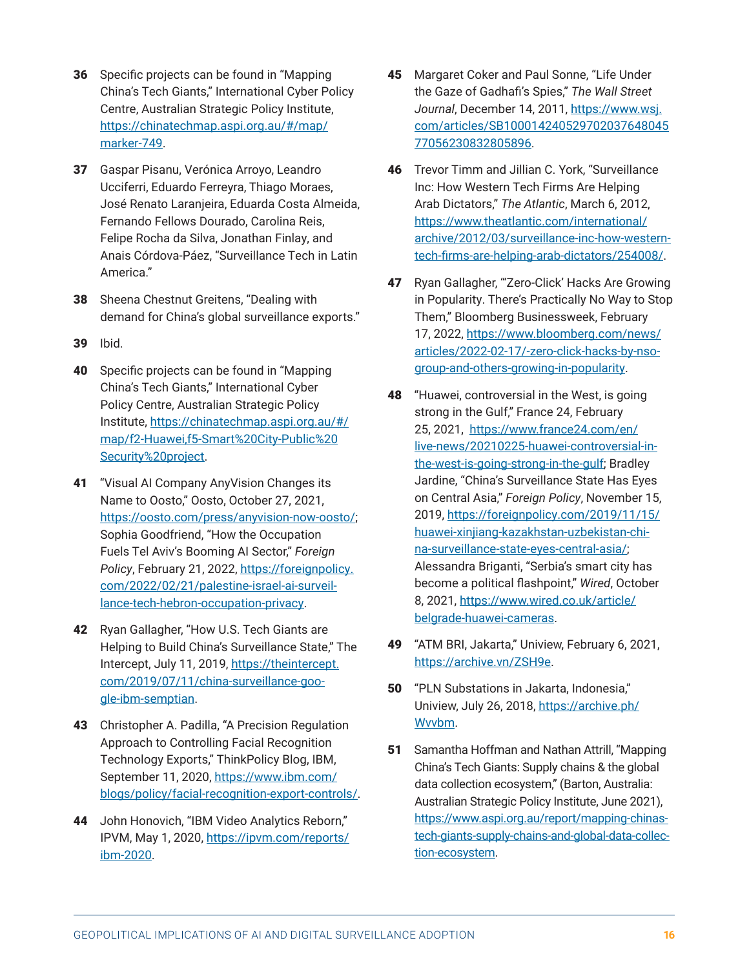- <span id="page-15-0"></span>36 Specific projects can be found in "Mapping China's Tech Giants," International Cyber Policy Centre, Australian Strategic Policy Institute, [https://chinatechmap.aspi.org.au/#/map/](https://chinatechmap.aspi.org.au/#/map/marker-749) [marker-749.](https://chinatechmap.aspi.org.au/#/map/marker-749)
- 37 Gaspar Pisanu, Verónica Arroyo, Leandro Ucciferri, Eduardo Ferreyra, Thiago Moraes, José Renato Laranjeira, Eduarda Costa Almeida, Fernando Fellows Dourado, Carolina Reis, Felipe Rocha da Silva, Jonathan Finlay, and Anais Córdova-Páez, "Surveillance Tech in Latin America."
- **38** Sheena Chestnut Greitens, "Dealing with demand for China's global surveillance exports."
- 39 Ibid.
- 40 Specific projects can be found in "Mapping China's Tech Giants," International Cyber Policy Centre, Australian Strategic Policy Institute, [https://chinatechmap.aspi.org.au/#/](https://chinatechmap.aspi.org.au/#/map/f2-Huawei,f5-Smart%20City-Public%20Security%20project) [map/f2-Huawei,f5-Smart%20City-Public%20](https://chinatechmap.aspi.org.au/#/map/f2-Huawei,f5-Smart%20City-Public%20Security%20project) [Security%20project](https://chinatechmap.aspi.org.au/#/map/f2-Huawei,f5-Smart%20City-Public%20Security%20project).
- 41 "Visual AI Company AnyVision Changes its Name to Oosto," Oosto, October 27, 2021, [https://oosto.com/press/anyvision-now-oosto/;](https://oosto.com/press/anyvision-now-oosto/) Sophia Goodfriend, "How the Occupation Fuels Tel Aviv's Booming AI Sector," *Foreign Policy*, February 21, 2022, [https://foreignpolicy.](https://foreignpolicy.com/2022/02/21/palestine-israel-ai-surveillance-tech-hebron-occupation-privacy) [com/2022/02/21/palestine-israel-ai-surveil](https://foreignpolicy.com/2022/02/21/palestine-israel-ai-surveillance-tech-hebron-occupation-privacy)[lance-tech-hebron-occupation-privacy](https://foreignpolicy.com/2022/02/21/palestine-israel-ai-surveillance-tech-hebron-occupation-privacy).
- **42** Ryan Gallagher, "How U.S. Tech Giants are Helping to Build China's Surveillance State," The Intercept, July 11, 2019, [https://theintercept.](https://theintercept.com/2019/07/11/china-surveillance-google-ibm-semptian) [com/2019/07/11/china-surveillance-goo](https://theintercept.com/2019/07/11/china-surveillance-google-ibm-semptian)[gle-ibm-semptian](https://theintercept.com/2019/07/11/china-surveillance-google-ibm-semptian).
- 43 Christopher A. Padilla, "A Precision Regulation Approach to Controlling Facial Recognition Technology Exports," ThinkPolicy Blog, IBM, September 11, 2020, [https://www.ibm.com/](https://www.ibm.com/blogs/policy/facial-recognition-export-controls/) [blogs/policy/facial-recognition-export-controls/](https://www.ibm.com/blogs/policy/facial-recognition-export-controls/).
- 44 John Honovich, "IBM Video Analytics Reborn," IPVM, May 1, 2020, [https://ipvm.com/reports/](https://ipvm.com/reports/ibm-2020) [ibm-2020](https://ipvm.com/reports/ibm-2020).
- 45 Margaret Coker and Paul Sonne, "Life Under the Gaze of Gadhafi's Spies," *The Wall Street Journal*, December 14, 2011, [https://www.wsj.](https://www.wsj.com/articles/SB10001424052970203764804577056230832805896) [com/articles/SB100014240529702037648045](https://www.wsj.com/articles/SB10001424052970203764804577056230832805896) [77056230832805896](https://www.wsj.com/articles/SB10001424052970203764804577056230832805896).
- 46 Trevor Timm and Jillian C. York, "Surveillance Inc: How Western Tech Firms Are Helping Arab Dictators," *The Atlantic*, March 6, 2012, [https://www.theatlantic.com/international/](https://www.theatlantic.com/international/archive/2012/03/surveillance-inc-how-western-tech-firms-are-helping-arab-dictators/254008/) [archive/2012/03/surveillance-inc-how-western](https://www.theatlantic.com/international/archive/2012/03/surveillance-inc-how-western-tech-firms-are-helping-arab-dictators/254008/)[tech-firms-are-helping-arab-dictators/254008/](https://www.theatlantic.com/international/archive/2012/03/surveillance-inc-how-western-tech-firms-are-helping-arab-dictators/254008/).
- 47 Ryan Gallagher, "'Zero-Click' Hacks Are Growing in Popularity. There's Practically No Way to Stop Them," Bloomberg Businessweek, February 17, 2022, [https://www.bloomberg.com/news/](https://www.bloomberg.com/news/articles/2022-02-17/-zero-click-hacks-by-nso-group-and-others-growing-in-popularity) [articles/2022-02-17/-zero-click-hacks-by-nso](https://www.bloomberg.com/news/articles/2022-02-17/-zero-click-hacks-by-nso-group-and-others-growing-in-popularity)[group-and-others-growing-in-popularity](https://www.bloomberg.com/news/articles/2022-02-17/-zero-click-hacks-by-nso-group-and-others-growing-in-popularity).
- 48 "Huawei, controversial in the West, is going strong in the Gulf," France 24, February 25, 2021, [https://www.france24.com/en/](https://www.france24.com/en/live-news/20210225-huawei-controversial-in-the-west-is-going-strong-in-the-gulf) [live-news/20210225-huawei-controversial-in](https://www.france24.com/en/live-news/20210225-huawei-controversial-in-the-west-is-going-strong-in-the-gulf)[the-west-is-going-strong-in-the-gulf;](https://www.france24.com/en/live-news/20210225-huawei-controversial-in-the-west-is-going-strong-in-the-gulf) Bradley Jardine, "China's Surveillance State Has Eyes on Central Asia," *Foreign Policy*, November 15, 2019, [https://foreignpolicy.com/2019/11/15/](https://foreignpolicy.com/2019/11/15/huawei-xinjiang-kazakhstan-uzbekistan-china-surveillance-state-eyes-central-asia/) [huawei-xinjiang-kazakhstan-uzbekistan-chi](https://foreignpolicy.com/2019/11/15/huawei-xinjiang-kazakhstan-uzbekistan-china-surveillance-state-eyes-central-asia/)[na-surveillance-state-eyes-central-asia/;](https://foreignpolicy.com/2019/11/15/huawei-xinjiang-kazakhstan-uzbekistan-china-surveillance-state-eyes-central-asia/) Alessandra Briganti, "Serbia's smart city has become a political flashpoint," *Wired*, October 8, 2021, [https://www.wired.co.uk/article/](https://www.wired.co.uk/article/belgrade-huawei-cameras) [belgrade-huawei-cameras](https://www.wired.co.uk/article/belgrade-huawei-cameras).
- 49 "ATM BRI, Jakarta," Uniview, February 6, 2021, <https://archive.vn/ZSH9e>.
- 50 "PLN Substations in Jakarta, Indonesia," Uniview, July 26, 2018, [https://archive.ph/](https://archive.ph/Wvvbm) [Wvvbm.](https://archive.ph/Wvvbm)
- 51 Samantha Hoffman and Nathan Attrill, "Mapping China's Tech Giants: Supply chains & the global data collection ecosystem," (Barton, Australia: Australian Strategic Policy Institute, June 2021), [https://www.aspi.org.au/report/mapping-chinas](https://www.aspi.org.au/report/mapping-chinas-tech-giants-supply-chains-and-global-data-collection-ecosystem)[tech-giants-supply-chains-and-global-data-collec](https://www.aspi.org.au/report/mapping-chinas-tech-giants-supply-chains-and-global-data-collection-ecosystem)[tion-ecosystem.](https://www.aspi.org.au/report/mapping-chinas-tech-giants-supply-chains-and-global-data-collection-ecosystem)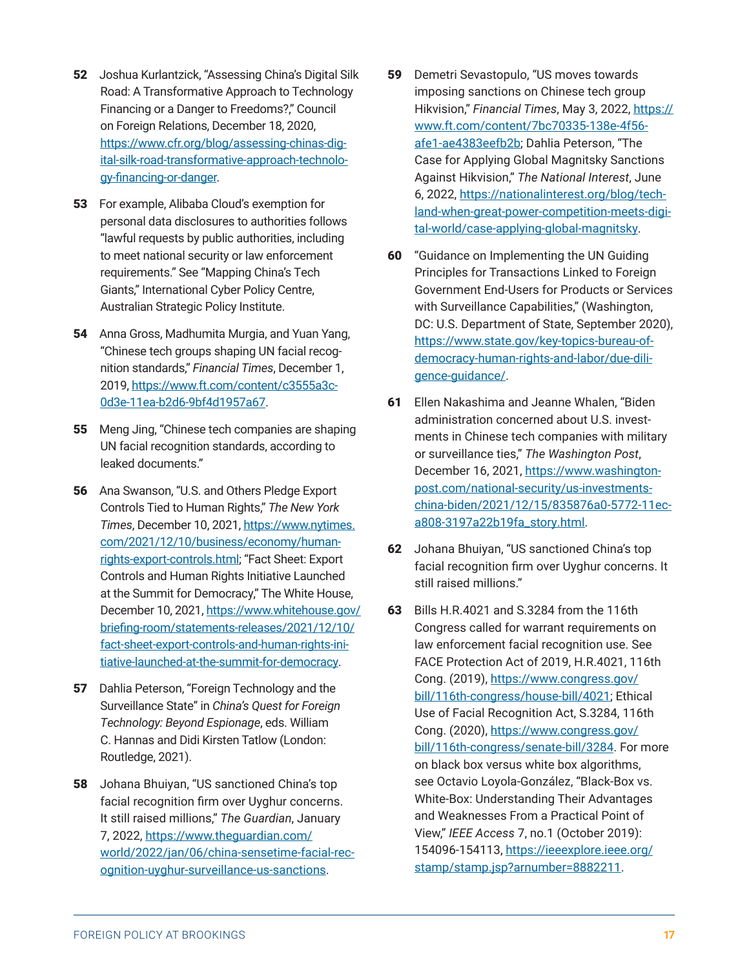- <span id="page-16-0"></span>52 Joshua Kurlantzick, "Assessing China's Digital Silk Road: A Transformative Approach to Technology Financing or a Danger to Freedoms?," Council on Foreign Relations, December 18, 2020, [https://www.cfr.org/blog/assessing-chinas-dig](https://www.cfr.org/blog/assessing-chinas-digital-silk-road-transformative-approach-technology-financing-or-danger)[ital-silk-road-transformative-approach-technolo](https://www.cfr.org/blog/assessing-chinas-digital-silk-road-transformative-approach-technology-financing-or-danger)[gy-financing-or-danger](https://www.cfr.org/blog/assessing-chinas-digital-silk-road-transformative-approach-technology-financing-or-danger).
- 53 For example, Alibaba Cloud's exemption for personal data disclosures to authorities follows "lawful requests by public authorities, including to meet national security or law enforcement requirements." See "Mapping China's Tech Giants," International Cyber Policy Centre, Australian Strategic Policy Institute.
- 54 Anna Gross, Madhumita Murgia, and Yuan Yang, "Chinese tech groups shaping UN facial recognition standards," *Financial Times*, December 1, 2019, [https://www.ft.com/content/c3555a3c-](https://www.ft.com/content/c3555a3c-0d3e-11ea-b2d6-9bf4d1957a67)[0d3e-11ea-b2d6-9bf4d1957a67](https://www.ft.com/content/c3555a3c-0d3e-11ea-b2d6-9bf4d1957a67).
- 55 Meng Jing, "Chinese tech companies are shaping UN facial recognition standards, according to leaked documents."
- 56 Ana Swanson, "U.S. and Others Pledge Export Controls Tied to Human Rights," *The New York Times*, December 10, 2021, [https://www.nytimes.](https://www.nytimes.com/2021/12/10/business/economy/human-rights-export-controls.html) [com/2021/12/10/business/economy/human](https://www.nytimes.com/2021/12/10/business/economy/human-rights-export-controls.html)[rights-export-controls.html](https://www.nytimes.com/2021/12/10/business/economy/human-rights-export-controls.html); "Fact Sheet: Export Controls and Human Rights Initiative Launched at the Summit for Democracy," The White House, December 10, 2021, [https://www.whitehouse.gov/](https://www.whitehouse.gov/briefing-room/statements-releases/2021/12/10/fact-sheet-export-controls-and-human-rights-initiative-launched-at-the-summit-for-democracy) [briefing-room/statements-releases/2021/12/10/](https://www.whitehouse.gov/briefing-room/statements-releases/2021/12/10/fact-sheet-export-controls-and-human-rights-initiative-launched-at-the-summit-for-democracy) [fact-sheet-export-controls-and-human-rights-ini](https://www.whitehouse.gov/briefing-room/statements-releases/2021/12/10/fact-sheet-export-controls-and-human-rights-initiative-launched-at-the-summit-for-democracy)[tiative-launched-at-the-summit-for-democracy.](https://www.whitehouse.gov/briefing-room/statements-releases/2021/12/10/fact-sheet-export-controls-and-human-rights-initiative-launched-at-the-summit-for-democracy)
- 57 Dahlia Peterson, "Foreign Technology and the Surveillance State" in *China's Quest for Foreign Technology: Beyond Espionage*, eds. William C. Hannas and Didi Kirsten Tatlow (London: Routledge, 2021).
- 58 Johana Bhuiyan, "US sanctioned China's top facial recognition firm over Uyghur concerns. It still raised millions," *The Guardian*, January 7, 2022, [https://www.theguardian.com/](https://www.theguardian.com/world/2022/jan/06/china-sensetime-facial-recognition-uyghur-surveillance-us-sanctions) [world/2022/jan/06/china-sensetime-facial-rec](https://www.theguardian.com/world/2022/jan/06/china-sensetime-facial-recognition-uyghur-surveillance-us-sanctions)[ognition-uyghur-surveillance-us-sanctions.](https://www.theguardian.com/world/2022/jan/06/china-sensetime-facial-recognition-uyghur-surveillance-us-sanctions)
- 59 Demetri Sevastopulo, "US moves towards imposing sanctions on Chinese tech group Hikvision," *Financial Times*, May 3, 2022, [https://](https://www.ft.com/content/7bc70335-138e-4f56-afe1-ae4383eefb2b) [www.ft.com/content/7bc70335-138e-4f56](https://www.ft.com/content/7bc70335-138e-4f56-afe1-ae4383eefb2b) [afe1-ae4383eefb2b;](https://www.ft.com/content/7bc70335-138e-4f56-afe1-ae4383eefb2b) Dahlia Peterson, "The Case for Applying Global Magnitsky Sanctions Against Hikvision," *The National Interest*, June 6, 2022, [https://nationalinterest.org/blog/tech](https://nationalinterest.org/blog/techland-when-great-power-competition-meets-digital-world/case-applying-global-magnitsky)[land-when-great-power-competition-meets-digi](https://nationalinterest.org/blog/techland-when-great-power-competition-meets-digital-world/case-applying-global-magnitsky)[tal-world/case-applying-global-magnitsky.](https://nationalinterest.org/blog/techland-when-great-power-competition-meets-digital-world/case-applying-global-magnitsky)
- 60 "Guidance on Implementing the UN Guiding Principles for Transactions Linked to Foreign Government End-Users for Products or Services with Surveillance Capabilities," (Washington, DC: U.S. Department of State, September 2020), [https://www.state.gov/key-topics-bureau-of](https://www.state.gov/key-topics-bureau-of-democracy-human-rights-and-labor/due-diligence-guidance/)[democracy-human-rights-and-labor/due-dili](https://www.state.gov/key-topics-bureau-of-democracy-human-rights-and-labor/due-diligence-guidance/)[gence-guidance/.](https://www.state.gov/key-topics-bureau-of-democracy-human-rights-and-labor/due-diligence-guidance/)
- 61 Ellen Nakashima and Jeanne Whalen, "Biden administration concerned about U.S. investments in Chinese tech companies with military or surveillance ties," *The Washington Post*, December 16, 2021, [https://www.washington](https://www.washingtonpost.com/national-security/us-investments-china-biden/2021/12/15/835876a0-5772-11ec-a808-3197a22b19fa_story.html)[post.com/national-security/us-investments](https://www.washingtonpost.com/national-security/us-investments-china-biden/2021/12/15/835876a0-5772-11ec-a808-3197a22b19fa_story.html)[china-biden/2021/12/15/835876a0-5772-11ec](https://www.washingtonpost.com/national-security/us-investments-china-biden/2021/12/15/835876a0-5772-11ec-a808-3197a22b19fa_story.html)[a808-3197a22b19fa\\_story.html](https://www.washingtonpost.com/national-security/us-investments-china-biden/2021/12/15/835876a0-5772-11ec-a808-3197a22b19fa_story.html).
- 62 Johana Bhuiyan, "US sanctioned China's top facial recognition firm over Uyghur concerns. It still raised millions."
- 63 Bills H.R.4021 and S.3284 from the 116th Congress called for warrant requirements on law enforcement facial recognition use. See FACE Protection Act of 2019, H.R.4021, 116th Cong. (2019), [https://www.congress.gov/](https://www.congress.gov/bill/116th-congress/house-bill/4021) [bill/116th-congress/house-bill/4021;](https://www.congress.gov/bill/116th-congress/house-bill/4021) Ethical Use of Facial Recognition Act, S.3284, 116th Cong. (2020), [https://www.congress.gov/](https://www.congress.gov/bill/116th-congress/senate-bill/3284) [bill/116th-congress/senate-bill/3284.](https://www.congress.gov/bill/116th-congress/senate-bill/3284) For more on black box versus white box algorithms, see Octavio Loyola-González, "Black-Box vs. White-Box: Understanding Their Advantages and Weaknesses From a Practical Point of View," *IEEE Access* 7, no.1 (October 2019): 154096-154113, [https://ieeexplore.ieee.org/](https://ieeexplore.ieee.org/stamp/stamp.jsp?arnumber=8882211) [stamp/stamp.jsp?arnumber=8882211.](https://ieeexplore.ieee.org/stamp/stamp.jsp?arnumber=8882211)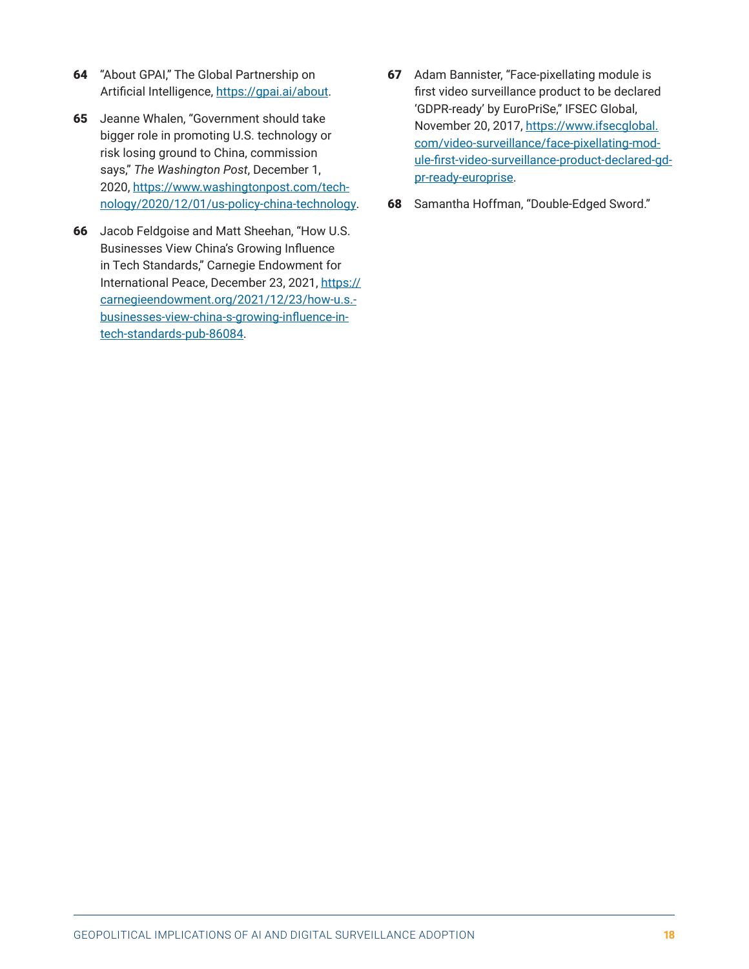- <span id="page-17-0"></span>64 "About GPAI," The Global Partnership on Artificial Intelligence, <https://gpai.ai/about>.
- 65 Jeanne Whalen, "Government should take bigger role in promoting U.S. technology or risk losing ground to China, commission says," *The Washington Post*, December 1, 2020, [https://www.washingtonpost.com/tech](https://www.washingtonpost.com/technology/2020/12/01/us-policy-china-technology)[nology/2020/12/01/us-policy-china-technology](https://www.washingtonpost.com/technology/2020/12/01/us-policy-china-technology).
- 66 Jacob Feldgoise and Matt Sheehan, "How U.S. Businesses View China's Growing Influence in Tech Standards," Carnegie Endowment for International Peace, December 23, 2021, [https://](https://carnegieendowment.org/2021/12/23/how-u.s.-businesses-view-china-s-growing-influence-in-tech-standards-pub-86084) [carnegieendowment.org/2021/12/23/how-u.s.](https://carnegieendowment.org/2021/12/23/how-u.s.-businesses-view-china-s-growing-influence-in-tech-standards-pub-86084) [businesses-view-china-s-growing-influence-in](https://carnegieendowment.org/2021/12/23/how-u.s.-businesses-view-china-s-growing-influence-in-tech-standards-pub-86084)[tech-standards-pub-86084](https://carnegieendowment.org/2021/12/23/how-u.s.-businesses-view-china-s-growing-influence-in-tech-standards-pub-86084).
- 67 Adam Bannister, "Face-pixellating module is first video surveillance product to be declared 'GDPR-ready' by EuroPriSe," IFSEC Global, November 20, 2017, [https://www.ifsecglobal.](https://www.ifsecglobal.com/video-surveillance/face-pixellating-module-first-video-surveillance-product-declared-gdpr-ready-europrise) [com/video-surveillance/face-pixellating-mod](https://www.ifsecglobal.com/video-surveillance/face-pixellating-module-first-video-surveillance-product-declared-gdpr-ready-europrise)[ule-first-video-surveillance-product-declared-gd](https://www.ifsecglobal.com/video-surveillance/face-pixellating-module-first-video-surveillance-product-declared-gdpr-ready-europrise)[pr-ready-europrise.](https://www.ifsecglobal.com/video-surveillance/face-pixellating-module-first-video-surveillance-product-declared-gdpr-ready-europrise)
- 68 Samantha Hoffman, "Double-Edged Sword."